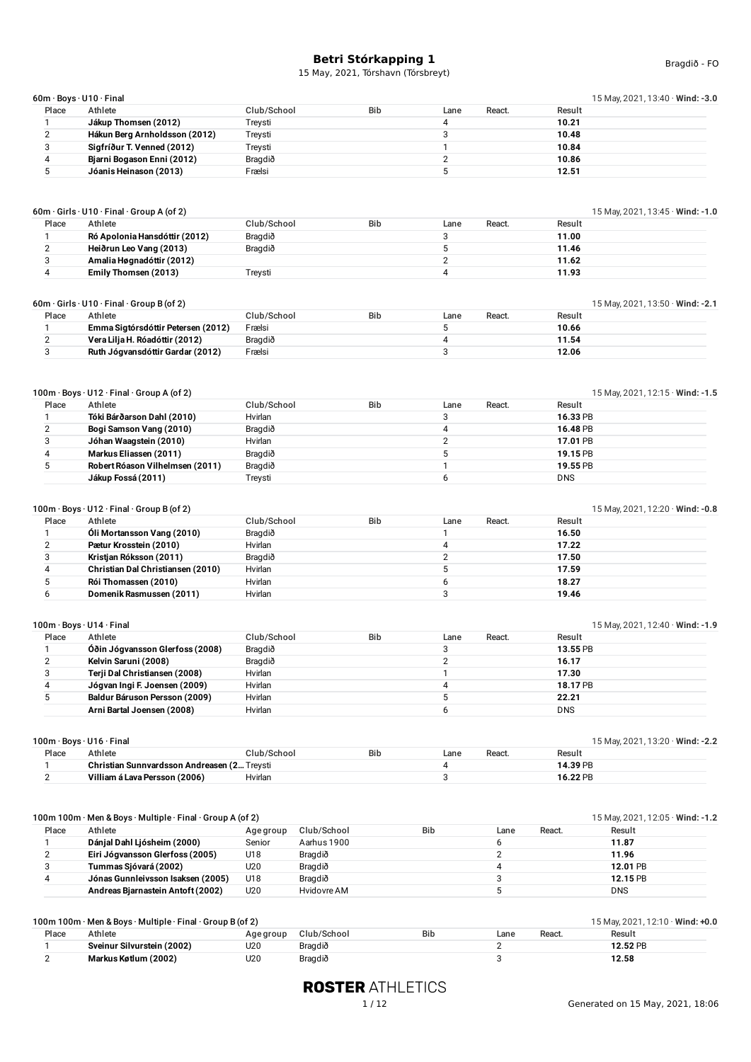|       | 60m·Boys·U10·Final            |             |            |      |                  | 15 May, 2021, 13:40 Wind: -3.0 |
|-------|-------------------------------|-------------|------------|------|------------------|--------------------------------|
| Place | Athlete                       | Club/School | <b>Bib</b> | Lane | Result<br>React. |                                |
|       | Jákup Thomsen (2012)          | Treysti     |            |      | 10.21            |                                |
|       | Hákun Berg Arnholdsson (2012) | Treysti     |            |      | 10.48            |                                |
|       | Sigfríður T. Venned (2012)    | Treysti     |            |      | 10.84            |                                |
|       | Bjarni Bogason Enni (2012)    | Bragdið     |            |      | 10.86            |                                |
|       | Jóanis Heinason (2013)        | Frælsi      |            |      | 12.51            |                                |
|       |                               |             |            |      |                  |                                |

| Place | Athlete                       | Club/School | <b>Bib</b> | Lane | React. | Result |  |
|-------|-------------------------------|-------------|------------|------|--------|--------|--|
|       | Ró Apolonia Hansdóttir (2012) | Bragdið     |            |      |        | 11.00  |  |
|       | Heiðrun Leo Vang (2013)       | Bragdið     |            |      |        | 11.46  |  |
|       | Amalia Høgnadóttir (2012)     |             |            |      |        | 11.62  |  |
|       | Emily Thomsen (2013)          | Treysti     |            |      |        | 11.93  |  |

|       | $60m \cdot$ Girls $\cdot$ U10 $\cdot$ Final $\cdot$ Group B (of 2)<br>15 May, 2021, 13:50 $\cdot$ Wind: -2.1 |             |     |      |        |        |  |  |  |
|-------|--------------------------------------------------------------------------------------------------------------|-------------|-----|------|--------|--------|--|--|--|
| Place | Athlete                                                                                                      | Club/School | Bib | Lane | React. | Result |  |  |  |
|       | Emma Sigtórsdóttir Petersen (2012)                                                                           | Frælsi      |     |      |        | 10.66  |  |  |  |
|       | Vera Lilja H. Róadóttir (2012)                                                                               | Bragdið     |     |      |        | 11.54  |  |  |  |
|       | Ruth Jógvansdóttir Gardar (2012)                                                                             | Frælsi      |     |      |        | 12.06  |  |  |  |

| 100m · Boys · U12 · Final · Group A (of 2) |  |
|--------------------------------------------|--|
|--------------------------------------------|--|

|       | I 00m · Boys · U12 · Final · Group A (of 2) |             |     |      |        | 15 May, 2021, 12:15 $\cdot$ Wind: -1.5 |
|-------|---------------------------------------------|-------------|-----|------|--------|----------------------------------------|
| Place | Athlete                                     | Club/School | Bib | Lane | React. | Result                                 |
|       | Tóki Bárðarson Dahl (2010)                  | Hvirlan     |     |      |        | 16.33 PB                               |
|       | Bogi Samson Vang (2010)                     | Bragdið     |     |      |        | 16.48 PB                               |
|       | Jóhan Waagstein (2010)                      | Hvirlan     |     |      |        | 17.01 PB                               |
|       | Markus Eliassen (2011)                      | Bragdið     |     |      |        | 19.15 PB                               |
|       | Robert Róason Vilhelmsen (2011)             | Bragdið     |     |      |        | 19.55 PB                               |
|       | Jákup Fossá (2011)                          | Trevsti     |     |      |        | <b>DNS</b>                             |

|       | $100m \cdot \text{Boys} \cdot \text{U12} \cdot \text{Final} \cdot \text{Group B (of 2)}$ |             |            |                |        | 15 May, 2021, 12:20 · Wind: -0.8 |
|-------|------------------------------------------------------------------------------------------|-------------|------------|----------------|--------|----------------------------------|
| Place | Athlete                                                                                  | Club/School | <b>Bib</b> | React.<br>Lane | Result |                                  |
|       | Óli Mortansson Vang (2010)                                                               | Bragdið     |            |                | 16.50  |                                  |
|       | Pætur Krosstein (2010)                                                                   | Hvirlan     |            |                | 17.22  |                                  |
|       | Kristjan Róksson (2011)                                                                  | Bragdið     |            |                | 17.50  |                                  |
|       | Christian Dal Christiansen (2010)                                                        | Hvirlan     |            |                | 17.59  |                                  |
|       | Rói Thomassen (2010)                                                                     | Hvirlan     |            |                | 18.27  |                                  |
|       | Domenik Rasmussen (2011)                                                                 | Hvirlan     |            |                | 19.46  |                                  |

|       | 100m · Boys · U14 · Final       |             |            |      |        | 15 May, 2021, 12:40 Wind: -1.9 |  |
|-------|---------------------------------|-------------|------------|------|--------|--------------------------------|--|
| Place | Athlete                         | Club/School | <b>Bib</b> | Lane | React. | Result                         |  |
|       | Óðin Jógvansson Glerfoss (2008) | Bragdið     |            |      |        | 13.55 PB                       |  |
|       | Kelvin Saruni (2008)            | Bragdið     |            |      |        | 16.17                          |  |
|       | Terji Dal Christiansen (2008)   | Hvirlan     |            |      |        | 17.30                          |  |
|       | Jógvan Ingi F. Joensen (2009)   | Hvirlan     |            |      |        | 18.17 PB                       |  |
|       | Baldur Báruson Persson (2009)   | Hvirlan     |            |      |        | 22.21                          |  |
|       | Arni Bartal Joensen (2008)      | Hvirlan     |            |      |        | <b>DNS</b>                     |  |

| $100m \cdot \text{Boys} \cdot \text{U}16 \cdot \text{Final}$ | 15 May, 2021, 13:20 · Wind: -2.2            |             |            |      |        |          |  |
|--------------------------------------------------------------|---------------------------------------------|-------------|------------|------|--------|----------|--|
| Place                                                        | Athlete                                     | Club/School | <b>Bib</b> | Lane | React. | Result   |  |
|                                                              | Christian Sunnvardsson Andreasen (2 Treysti |             |            |      |        | 14.39 PB |  |
|                                                              | Villiam á Lava Persson (2006)               | Hvirlan     |            |      |        | 16.22 PB |  |
|                                                              |                                             |             |            |      |        |          |  |

|       | 100m 100m · Men & Boys · Multiple · Final · Group A (of 2) |           |             |            |      |        | 15 May, 2021, 12:05 · Wind: -1.2 |
|-------|------------------------------------------------------------|-----------|-------------|------------|------|--------|----------------------------------|
| Place | Athlete                                                    | Age group | Club/School | <b>Bib</b> | Lane | React. | Result                           |
|       | Dánjal Dahl Ljósheim (2000)                                | Senior    | Aarhus 1900 |            |      |        | 11.87                            |
|       | Eiri Jógvansson Glerfoss (2005)                            | U18       | Bragdið     |            |      |        | 11.96                            |
|       | Tummas Sjóvará (2002)                                      | U20       | Bragdið     |            |      |        | 12.01 PB                         |
|       | Jónas Gunnleivsson Isaksen (2005)                          | U18       | Bragdið     |            |      |        | 12.15 PB                         |
|       | Andreas Biarnastein Antoft (2002)                          | U20       | Hvidovre AM |            |      |        | <b>DNS</b>                       |
|       |                                                            |           |             |            |      |        |                                  |

|       | $100m 100m \cdot$ Men & Boys $\cdot$ Multiple $\cdot$ Final $\cdot$ Group B (of 2)<br>15 May, 2021, 12:10 · Wind: +0.0 |           |             |            |         |        |          |  |  |  |
|-------|------------------------------------------------------------------------------------------------------------------------|-----------|-------------|------------|---------|--------|----------|--|--|--|
| Place | Athlete                                                                                                                | Age group | Club/School | <b>Bib</b> | $L$ ane | React. | Result   |  |  |  |
|       | Sveinur Silvurstein (2002)                                                                                             | U20       | Braadið     |            |         |        | 12.52 PB |  |  |  |
|       | Markus Køtlum (2002)                                                                                                   | U20       | Bragdið     |            |         |        | 12.58    |  |  |  |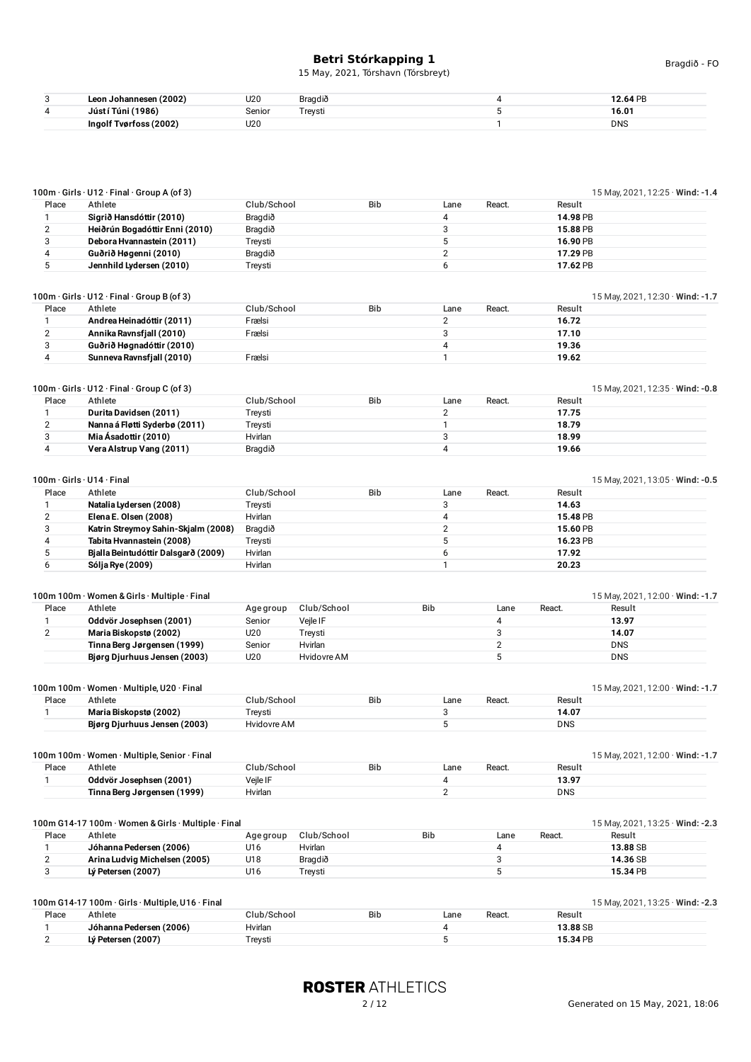15 May, 2021, Tórshavn (Tórsbreyt)

| c<br>ັ | (2002)<br><b>Ann</b><br>. IODAI   | U20<br>$\sim$ | $\cdots$<br>Bragdið | ית ו<br>.60<br>the contract of the contract of the contract of |
|--------|-----------------------------------|---------------|---------------------|----------------------------------------------------------------|
| 4      | $^{\prime}$ 1986)<br>Túni<br>luet | Seniol        | Trevsti             | 16.01                                                          |
|        | Ingolf Tyørfoss (2002)            | U20           |                     | <b>DNS</b>                                                     |

| Place               | $100m \cdot$ Girls $\cdot$ U12 $\cdot$ Final $\cdot$ Group A (of 3)<br>Athlete | Club/School        |             | <b>Bib</b> | Lane                   | React.     | Result         | 15 May, 2021, 12:25 · Wind: -1.4       |
|---------------------|--------------------------------------------------------------------------------|--------------------|-------------|------------|------------------------|------------|----------------|----------------------------------------|
| 1                   | Sigrið Hansdóttir (2010)                                                       | Bragdið            |             |            | 4                      |            | 14.98 PB       |                                        |
| $\overline{2}$      | Heiðrún Bogadóttir Enni (2010)                                                 | Bragdið            |             |            | 3                      |            | 15.88 PB       |                                        |
| 3                   | Debora Hvannastein (2011)                                                      | Treysti            |             |            | 5                      |            | 16.90 PB       |                                        |
| 4                   | Guðrið Høgenni (2010)                                                          | Bragdið            |             |            | $\overline{2}$         |            | 17.29 PB       |                                        |
| 5                   | Jennhild Lydersen (2010)                                                       | Treysti            |             |            | 6                      |            | 17.62 PB       |                                        |
|                     |                                                                                |                    |             |            |                        |            |                |                                        |
|                     | $100m \cdot$ Girls $\cdot$ U12 $\cdot$ Final $\cdot$ Group B (of 3)            |                    |             |            |                        |            |                | 15 May, 2021, 12:30 · Wind: -1.7       |
| Place               | Athlete                                                                        | Club/School        |             | <b>Bib</b> | Lane                   | React.     | Result         |                                        |
| $\mathbf{1}$        | Andrea Heinadóttir (2011)                                                      | Frælsi             |             |            | $\overline{2}$         |            | 16.72          |                                        |
| $\overline{2}$      | Annika Ravnsfjall (2010)                                                       | Frælsi             |             |            | 3                      |            | 17.10          |                                        |
| 3                   | Guðrið Høgnadóttir (2010)                                                      |                    |             |            | 4                      |            | 19.36          |                                        |
| 4                   | Sunneva Ravnsfjall (2010)                                                      | Frælsi             |             |            | $\mathbf{1}$           |            | 19.62          |                                        |
|                     |                                                                                |                    |             |            |                        |            |                |                                        |
|                     | $100m \cdot$ Girls $\cdot$ U12 $\cdot$ Final $\cdot$ Group C (of 3)            |                    |             |            |                        |            |                | 15 May, 2021, 12:35 $\cdot$ Wind: -0.8 |
| Place               | Athlete                                                                        | Club/School        |             | <b>Bib</b> | Lane<br>$\overline{2}$ | React.     | Result         |                                        |
| 1<br>$\overline{2}$ | Durita Davidsen (2011)<br>Nanna á Fløtti Syderbø (2011)                        | Treysti            |             |            | $\mathbf{1}$           |            | 17.75<br>18.79 |                                        |
| 3                   | Mia Ásadottir (2010)                                                           | Treysti<br>Hvirlan |             |            | 3                      |            | 18.99          |                                        |
|                     |                                                                                |                    |             |            |                        |            |                |                                        |
| 4                   | Vera Alstrup Vang (2011)                                                       | Bragdið            |             |            | 4                      |            | 19.66          |                                        |
|                     | 100m · Girls · U14 · Final                                                     |                    |             |            |                        |            |                | 15 May, 2021, 13:05 · Wind: -0.5       |
| Place               | Athlete                                                                        | Club/School        |             | <b>Bib</b> | Lane                   | React.     | Result         |                                        |
| 1                   | Natalia Lydersen (2008)                                                        | Treysti            |             |            | 3                      |            | 14.63          |                                        |
| $\overline{2}$      | Elena E. Olsen (2008)                                                          | Hvirlan            |             |            | 4                      |            | 15.48 PB       |                                        |
| 3                   | Katrin Streymoy Sahin-Skjalm (2008)                                            | Bragdið            |             |            | $\overline{2}$         |            | 15.60 PB       |                                        |
| 4                   | Tabita Hvannastein (2008)                                                      | Treysti            |             |            | 5                      |            | 16.23 PB       |                                        |
| 5                   | Bjalla Beintudóttir Dalsgarð (2009)                                            | Hvirlan            |             |            | 6                      |            | 17.92          |                                        |
| 6                   | Sólja Rye (2009)                                                               | Hvirlan            |             |            | $\mathbf{1}$           |            | 20.23          |                                        |
|                     |                                                                                |                    |             |            |                        |            |                |                                        |
|                     | 100m 100m · Women & Girls · Multiple · Final                                   |                    |             |            |                        |            |                | 15 May, 2021, 12:00 · Wind: -1.7       |
| Place               | Athlete                                                                        | Age group          | Club/School |            | <b>Bib</b>             | Lane       | React.         | Result                                 |
| 1                   | Oddvör Josephsen (2001)                                                        | Senior             | Vejle IF    |            |                        | $\sqrt{4}$ |                | 13.97                                  |
| $\overline{2}$      | Maria Biskopstø (2002)                                                         | U20                | Treysti     |            |                        | 3          |                | 14.07                                  |
|                     | Tinna Berg Jørgensen (1999)                                                    | Senior             | Hvirlan     |            |                        | 2          |                | <b>DNS</b>                             |
|                     | Bjørg Djurhuus Jensen (2003)                                                   | U20                | Hvidovre AM |            |                        | 5          |                | <b>DNS</b>                             |
|                     | 100m 100m · Women · Multiple, U20 · Final                                      |                    |             |            |                        |            |                | 15 May, 2021, 12:00 $\cdot$ Wind: -1.7 |
| Place               | Athlete                                                                        | Club/School        |             | <b>Bib</b> | Lane                   | React.     | Result         |                                        |
| $\mathbf{1}$        | Maria Biskopstø (2002)                                                         | Treysti            |             |            | 3                      |            | 14.07          |                                        |
|                     | Bjørg Djurhuus Jensen (2003)                                                   | Hvidovre AM        |             |            | 5                      |            | <b>DNS</b>     |                                        |
|                     |                                                                                |                    |             |            |                        |            |                |                                        |
|                     | 100m 100m · Women · Multiple, Senior · Final                                   |                    |             |            |                        |            |                | 15 May, 2021, 12:00 · Wind: -1.7       |
| Place               | Athlete<br>Oddvör Josephsen (2001)                                             | Club/School        |             | Bib        | Lane                   | React.     | Result         |                                        |
| $\mathbf{1}$        |                                                                                | Vejle IF           |             |            | 4                      |            | 13.97          |                                        |
|                     | Tinna Berg Jørgensen (1999)                                                    | Hvirlan            |             |            | $\overline{2}$         |            | <b>DNS</b>     |                                        |
|                     |                                                                                |                    |             |            |                        |            |                | 15 May, 2021, 13:25 · Wind: -2.3       |
|                     | 100m G14-17 100m · Women & Girls · Multiple · Final                            |                    |             |            |                        |            |                |                                        |
| Place               | Athlete                                                                        | Age group          | Club/School |            | Bib                    | Lane       | React.         | Result                                 |
| 1                   | Jóhanna Pedersen (2006)                                                        | U16                | Hvirlan     |            |                        | $\pmb{4}$  |                | 13.88 SB                               |
|                     |                                                                                |                    |             |            |                        |            |                |                                        |
| $\overline{2}$      | Arina Ludvig Michelsen (2005)<br>Lý Petersen (2007)                            | U18                | Bragdið     |            |                        | 3          |                | 14.36 SB                               |
| 3                   |                                                                                | U16                | Treysti     |            |                        | 5          |                | 15.34 PB                               |
|                     | 100m G14-17 100m · Girls · Multiple, U16 · Final                               |                    |             |            |                        |            |                |                                        |
| Place               | Athlete                                                                        | Club/School        |             | <b>Bib</b> | Lane                   | React.     | Result         | 15 May, 2021, 13:25 · Wind: -2.3       |

2 **Lý Petersen (2007)** Treysti 5 **15.34** PB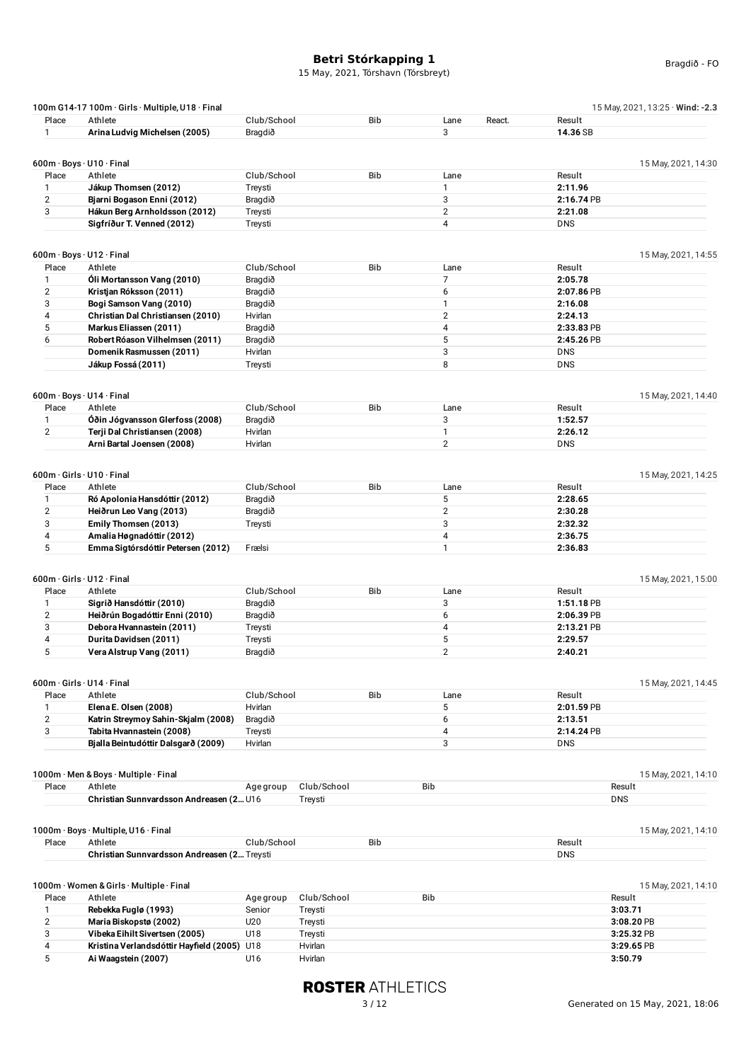#### **Betri Stórkapping 1** 15 May, 2021, Tórshavn (Tórsbreyt)

|                | 100m G14-17 100m · Girls · Multiple, U18 · Final |             |             |            |                |            | 15 May, 2021, 13:25 · Wind: -2.3 |
|----------------|--------------------------------------------------|-------------|-------------|------------|----------------|------------|----------------------------------|
| Place          | Athlete                                          | Club/School |             | <b>Bib</b> | Lane<br>React. | Result     |                                  |
| 1              | Arina Ludvig Michelsen (2005)                    | Bragdið     |             |            | 3              | 14.36 SB   |                                  |
|                |                                                  |             |             |            |                |            |                                  |
|                | 600m · Boys · U10 · Final                        |             |             |            |                |            | 15 May, 2021, 14:30              |
| Place          | Athlete                                          | Club/School |             | Bib        | Lane           | Result     |                                  |
| 1              | Jákup Thomsen (2012)                             | Treysti     |             |            | $\mathbf{1}$   | 2:11.96    |                                  |
| $\overline{2}$ | Bjarni Bogason Enni (2012)                       | Bragdið     |             |            | 3              | 2:16.74 PB |                                  |
| 3              | Hákun Berg Arnholdsson (2012)                    | Treysti     |             |            | $\overline{2}$ | 2:21.08    |                                  |
|                | Sigfríður T. Venned (2012)                       | Treysti     |             |            | 4              | <b>DNS</b> |                                  |
|                |                                                  |             |             |            |                |            |                                  |
|                | $600m \cdot$ Boys $\cdot$ U12 $\cdot$ Final      |             |             |            |                |            | 15 May, 2021, 14:55              |
| Place          | Athlete                                          | Club/School |             | <b>Bib</b> | Lane           | Result     |                                  |
| 1              | Óli Mortansson Vang (2010)                       | Bragdið     |             |            | 7              | 2:05.78    |                                  |
| 2              | Kristjan Róksson (2011)                          | Bragdið     |             |            | 6              | 2:07.86 PB |                                  |
| 3              | Bogi Samson Vang (2010)                          | Bragdið     |             |            | $\mathbf{1}$   | 2:16.08    |                                  |
| 4              | Christian Dal Christiansen (2010)                | Hvirlan     |             |            | $\overline{2}$ | 2:24.13    |                                  |
| 5              | Markus Eliassen (2011)                           | Bragdið     |             |            | 4              | 2:33.83 PB |                                  |
| 6              |                                                  |             |             |            | 5              |            |                                  |
|                | Robert Róason Vilhelmsen (2011)                  | Bragdið     |             |            |                | 2:45.26 PB |                                  |
|                | Domenik Rasmussen (2011)                         | Hvirlan     |             |            | 3              | <b>DNS</b> |                                  |
|                | Jákup Fossá (2011)                               | Treysti     |             |            | 8              | <b>DNS</b> |                                  |
|                | 600m · Boys · U14 · Final                        |             |             |            |                |            | 15 May, 2021, 14:40              |
| Place          | Athlete                                          | Club/School |             | <b>Bib</b> | Lane           | Result     |                                  |
| 1              | Óðin Jógvansson Glerfoss (2008)                  | Bragdið     |             |            | 3              | 1:52.57    |                                  |
|                |                                                  |             |             |            |                |            |                                  |
| $\overline{2}$ | Terji Dal Christiansen (2008)                    | Hvirlan     |             |            | $\mathbf{1}$   | 2:26.12    |                                  |
|                | Arni Bartal Joensen (2008)                       | Hvirlan     |             |            | $\overline{2}$ | <b>DNS</b> |                                  |
|                |                                                  |             |             |            |                |            |                                  |
|                | 600m · Girls · U10 · Final                       |             |             |            |                |            | 15 May, 2021, 14:25              |
| Place          | Athlete                                          | Club/School |             | <b>Bib</b> | Lane           | Result     |                                  |
| 1              | Ró Apolonia Hansdóttir (2012)                    | Bragdið     |             |            | 5              | 2:28.65    |                                  |
| 2              | Heiðrun Leo Vang (2013)                          | Bragdið     |             |            | $\overline{c}$ | 2:30.28    |                                  |
| 3              | Emily Thomsen (2013)                             | Treysti     |             |            | 3              | 2:32.32    |                                  |
| 4              | Amalia Høgnadóttir (2012)                        |             |             |            | 4              | 2:36.75    |                                  |
| 5              | Emma Sigtórsdóttir Petersen (2012)               | Frælsi      |             |            | $\mathbf{1}$   | 2:36.83    |                                  |
|                |                                                  |             |             |            |                |            |                                  |
|                | 600m · Girls · U12 · Final<br>Athlete            | Club/School |             | <b>Bib</b> |                |            | 15 May, 2021, 15:00              |
| Place          |                                                  |             |             |            | Lane           | Result     |                                  |
| 1              | Sigrið Hansdóttir (2010)                         | Bragdið     |             |            | 3              | 1:51.18 PB |                                  |
| $\overline{2}$ | Heiðrún Bogadóttir Enni (2010)                   | Bragdið     |             |            | 6              | 2:06.39 PB |                                  |
| 3              | Debora Hvannastein (2011)                        | Treysti     |             |            | 4              | 2:13.21 PB |                                  |
| 4              | Durita Davidsen (2011)                           | Treysti     |             |            | 5              | 2:29.57    |                                  |
| 5              | Vera Alstrup Vang (2011)                         | Bragdið     |             |            | $\overline{2}$ | 2:40.21    |                                  |
|                |                                                  |             |             |            |                |            |                                  |
|                | $600m \cdot$ Girls $\cdot$ U14 $\cdot$ Final     |             |             |            |                |            | 15 May, 2021, 14:45              |
| Place          | Athlete                                          | Club/School |             | <b>Bib</b> | Lane           | Result     |                                  |
| 1              | Elena E. Olsen (2008)                            | Hvirlan     |             |            | 5              | 2:01.59 PB |                                  |
| $\overline{2}$ | Katrin Streymoy Sahin-Skjalm (2008)              | Bragdið     |             |            | 6              | 2:13.51    |                                  |
| 3              | Tabita Hvannastein (2008)                        | Treysti     |             |            | 4              | 2:14.24 PB |                                  |
|                | Bjalla Beintudóttir Dalsgarð (2009)              | Hvirlan     |             |            | 3              | <b>DNS</b> |                                  |
|                |                                                  |             |             |            |                |            |                                  |
| Place          | 1000m · Men & Boys · Multiple · Final<br>Athlete | Age group   | Club/School |            | Bib            | Result     | 15 May, 2021, 14:10              |
|                |                                                  |             |             |            |                |            |                                  |
|                | Christian Sunnvardsson Andreasen (2 U16          |             | Treysti     |            |                | <b>DNS</b> |                                  |
|                | 1000m · Boys · Multiple, U16 · Final             |             |             |            |                |            | 15 May, 2021, 14:10              |
| Place          | Athlete                                          | Club/School |             | <b>Bib</b> |                | Result     |                                  |
|                | Christian Sunnvardsson Andreasen (2 Treysti      |             |             |            |                | <b>DNS</b> |                                  |
|                |                                                  |             |             |            |                |            |                                  |
|                | 1000m · Women & Girls · Multiple · Final         |             |             |            |                |            | 15 May, 2021, 14:10              |
| Place          | Athlete                                          | Age group   | Club/School |            | <b>Bib</b>     | Result     |                                  |
| 1              | Rebekka Fuglø (1993)                             | Senior      | Treysti     |            |                | 3:03.71    |                                  |
| $\overline{2}$ | Maria Biskopstø (2002)                           | U20         | Treysti     |            |                |            | 3:08.20 PB                       |
| 3              | Vibeka Eihilt Sivertsen (2005)                   | U18         | Treysti     |            |                |            | 3:25.32 PB                       |

4 **Kristina Verlandsdóttir Hayfield (2005)** U18 Hvirlan **3:29.65** PB 5 **Ai Waagstein (2007)** U16 Hvirlan **3:50.79**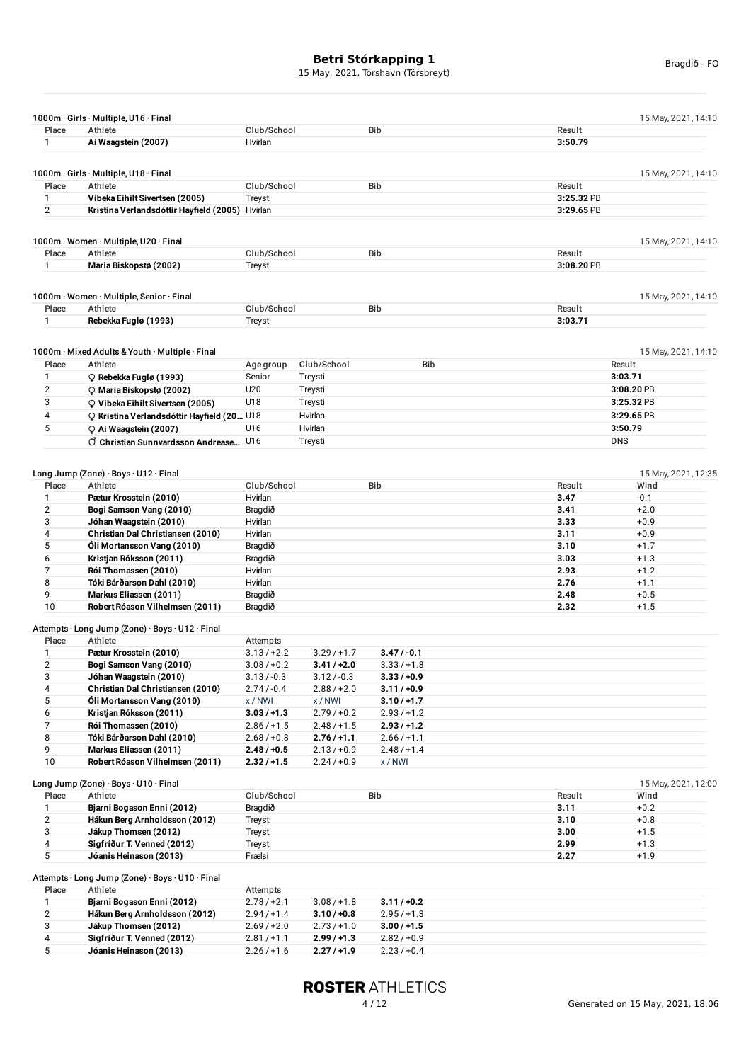|                | 1000m · Girls · Multiple, U16 · Final            |               |               |               |            | 15 May, 2021, 14:10 |
|----------------|--------------------------------------------------|---------------|---------------|---------------|------------|---------------------|
| Place          | Athlete                                          | Club/School   |               | <b>Bib</b>    | Result     |                     |
| 1              | Ai Waagstein (2007)                              | Hvirlan       |               |               | 3:50.79    |                     |
|                |                                                  |               |               |               |            |                     |
|                | 1000m · Girls · Multiple, U18 · Final            |               |               |               |            | 15 May, 2021, 14:10 |
| Place          | Athlete                                          | Club/School   |               | <b>Bib</b>    | Result     |                     |
| 1              | Vibeka Eihilt Sivertsen (2005)                   | Treysti       |               |               | 3:25.32 PB |                     |
| $\overline{2}$ | Kristina Verlandsdóttir Hayfield (2005) Hvirlan  |               |               |               | 3:29.65 PB |                     |
|                |                                                  |               |               |               |            |                     |
|                | 1000m · Women · Multiple, U20 · Final            |               |               |               |            | 15 May, 2021, 14:10 |
| Place          | Athlete                                          | Club/School   |               | <b>Bib</b>    | Result     |                     |
| 1              | Maria Biskopstø (2002)                           | Treysti       |               |               | 3:08.20 PB |                     |
|                |                                                  |               |               |               |            |                     |
|                | 1000m · Women · Multiple, Senior · Final         |               |               |               |            | 15 May, 2021, 14:10 |
| Place          | Athlete                                          | Club/School   |               | <b>Bib</b>    | Result     |                     |
| 1              | Rebekka Fuglø (1993)                             | Treysti       |               |               | 3:03.71    |                     |
|                |                                                  |               |               |               |            |                     |
|                |                                                  |               |               |               |            |                     |
|                | 1000m · Mixed Adults & Youth · Multiple · Final  |               |               |               |            | 15 May, 2021, 14:10 |
| Place          | Athlete                                          | Age group     | Club/School   | Bib           |            | Result              |
| 1              | $\circ$ Rebekka Fuglø (1993)                     | Senior        | Treysti       |               |            | 3:03.71             |
| $\overline{2}$ | $\circ$ Maria Biskopstø (2002)                   | U20           | Treysti       |               |            | 3:08.20 PB          |
| 3              | Q Vibeka Eihilt Sivertsen (2005)                 | U18           | Treysti       |               |            | 3:25.32 PB          |
| 4              | ○ Kristina Verlandsdóttir Hayfield (20 U18       |               | Hvirlan       |               |            | 3:29.65 PB          |
| 5              | C Ai Waagstein (2007)                            | U16           | Hvirlan       |               |            | 3:50.79             |
|                | C Christian Sunnvardsson Andrease U16            |               | Treysti       |               | <b>DNS</b> |                     |
|                |                                                  |               |               |               |            |                     |
|                | Long Jump (Zone) · Boys · U12 · Final            |               |               |               |            | 15 May, 2021, 12:35 |
| Place          | Athlete                                          | Club/School   |               | Bib           | Result     | Wind                |
| 1              | Pætur Krosstein (2010)                           | Hvirlan       |               |               | 3.47       | $-0.1$              |
| $\overline{2}$ | Bogi Samson Vang (2010)                          | Bragdið       |               |               | 3.41       | $+2.0$              |
| 3              | Jóhan Waagstein (2010)                           | Hvirlan       |               |               | 3.33       | $+0.9$              |
| 4              | Christian Dal Christiansen (2010)                | Hvirlan       |               |               | 3.11       | $+0.9$              |
| 5              | Óli Mortansson Vang (2010)                       | Bragdið       |               |               | 3.10       | $+1.7$              |
| 6              | Kristjan Róksson (2011)                          | Bragdið       |               |               | 3.03       | $+1.3$              |
| 7              | Rói Thomassen (2010)                             | Hvirlan       |               |               | 2.93       | $+1.2$              |
| 8              | Tóki Bárðarson Dahl (2010)                       | Hvirlan       |               |               | 2.76       | $+1.1$              |
| 9              | Markus Eliassen (2011)                           | Bragdið       |               |               | 2.48       | $+0.5$              |
| 10             | Robert Róason Vilhelmsen (2011)                  | Bragdið       |               |               | 2.32       | $+1.5$              |
|                |                                                  |               |               |               |            |                     |
|                | Attempts · Long Jump (Zone) · Boys · U12 · Final |               |               |               |            |                     |
| Place          | Athlete                                          | Attempts      |               |               |            |                     |
| $\mathbf{1}$   | Pætur Krosstein (2010)                           | $3.13 / +2.2$ | 3.29/11.7     | $3.47 / -0.1$ |            |                     |
| $\overline{2}$ | Bogi Samson Vang (2010)                          | $3.08 / +0.2$ | $3.41 / +2.0$ | $3.33/+1.8$   |            |                     |
| 3              | Jóhan Waagstein (2010)                           | $3.13 / -0.3$ | $3.12 / -0.3$ | $3.33 / +0.9$ |            |                     |
| 4              | Christian Dal Christiansen (2010)                | $2.74 / -0.4$ | $2.88 / +2.0$ | $3.11 / +0.9$ |            |                     |
| 5              | Óli Mortansson Vang (2010)                       | x/NWI         | x/NWI         | $3.10 / +1.7$ |            |                     |
| 6              | Kristjan Róksson (2011)                          | $3.03 / +1.3$ | $2.79/+0.2$   | $2.93 / +1.2$ |            |                     |
| 7              | Rói Thomassen (2010)                             | $2.86 / +1.5$ | $2.48 / +1.5$ | $2.93 / +1.2$ |            |                     |
| 8              | Tóki Bárðarson Dahl (2010)                       | $2.68 / +0.8$ | $2.76 / +1.1$ | $2.66 / +1.1$ |            |                     |
| 9              | Markus Eliassen (2011)                           | $2.48 / +0.5$ | $2.13 / +0.9$ | $2.48 / +1.4$ |            |                     |
| 10             | Robert Róason Vilhelmsen (2011)                  | $2.32 / +1.5$ | $2.24/+0.9$   | x/NWI         |            |                     |
|                | Long Jump (Zone) · Boys · U10 · Final            |               |               |               |            | 15 May, 2021, 12:00 |
| Place          | Athlete                                          | Club/School   |               | Bib           | Result     | Wind                |
| 1              | Bjarni Bogason Enni (2012)                       | Bragdið       |               |               | 3.11       | $+0.2$              |
| $\mathbf 2$    | Hákun Berg Arnholdsson (2012)                    | Treysti       |               |               | 3.10       | $+0.8$              |
| 3              | Jákup Thomsen (2012)                             | Treysti       |               |               | 3.00       | $+1.5$              |
| 4              | Sigfríður T. Venned (2012)                       | Treysti       |               |               | 2.99       | $+1.3$              |
| 5              | Jóanis Heinason (2013)                           | Frælsi        |               |               | 2.27       | $+1.9$              |
|                |                                                  |               |               |               |            |                     |
|                | Attempts · Long Jump (Zone) · Boys · U10 · Final |               |               |               |            |                     |
| Place          | Athlete                                          | Attempts      |               |               |            |                     |
| 1              | Bjarni Bogason Enni (2012)                       | $2.78 / +2.1$ | $3.08 / +1.8$ | $3.11 / +0.2$ |            |                     |
| $\overline{2}$ | Hákun Berg Arnholdsson (2012)                    | $2.94 / +1.4$ | $3.10 / +0.8$ | $2.95/+1.3$   |            |                     |
| 3              | Jákup Thomsen (2012)                             | $2.69/+2.0$   | $2.73/+1.0$   | $3.00 / +1.5$ |            |                     |
| 4              | Sigfríður T. Venned (2012)                       | $2.81 / +1.1$ | $2.99/+1.3$   | $2.82 / +0.9$ |            |                     |
| 5              | Jóanis Heinason (2013)                           | $2.26 / +1.6$ | 2.27/11.9     | $2.23/+0.4$   |            |                     |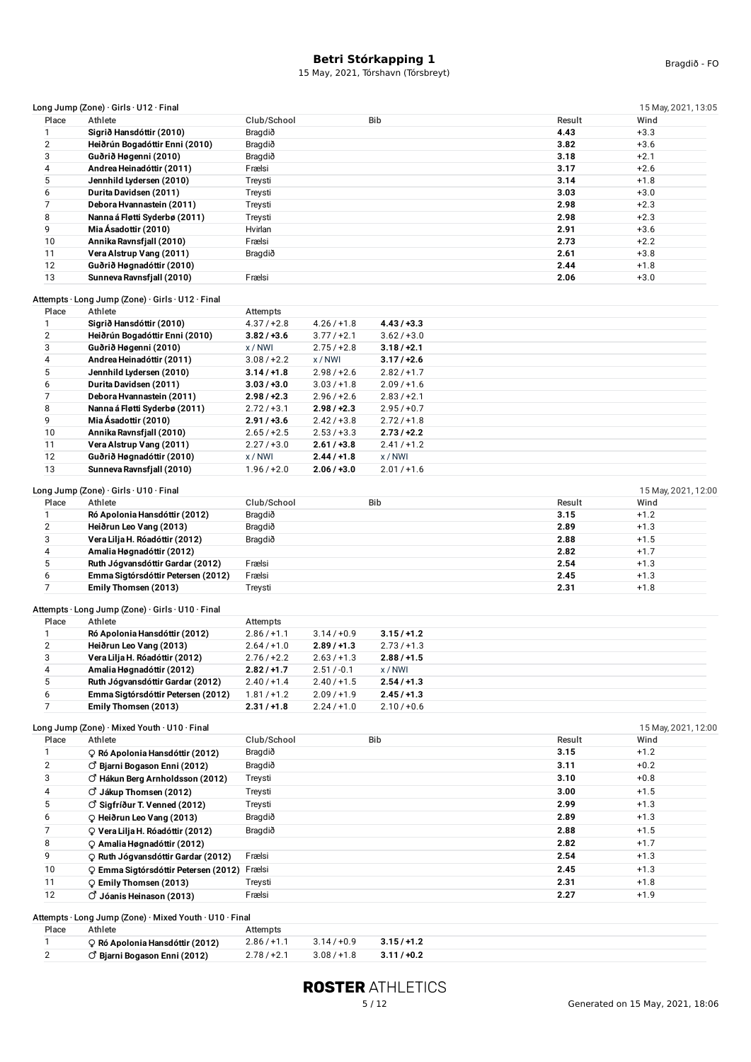| Place<br>1              |                                                            |                   |               |               |              | 15 May, 2021, 13:05 |
|-------------------------|------------------------------------------------------------|-------------------|---------------|---------------|--------------|---------------------|
|                         | Athlete                                                    | Club/School       |               | <b>Bib</b>    | Result       | Wind                |
|                         | Sigrið Hansdóttir (2010)                                   | Bragdið           |               |               | 4.43         | $+3.3$              |
| $\overline{\mathbf{c}}$ | Heiðrún Bogadóttir Enni (2010)                             | Bragdið           |               |               | 3.82         | $+3.6$              |
| 3                       | Guðrið Høgenni (2010)                                      | Bragdið           |               |               | 3.18         | $+2.1$              |
| 4                       | Andrea Heinadóttir (2011)                                  | Frælsi            |               |               | 3.17         | $+2.6$              |
| 5                       | Jennhild Lydersen (2010)                                   | Treysti           |               |               | 3.14         | $+1.8$              |
| 6                       | Durita Davidsen (2011)                                     | Treysti           |               |               | 3.03         | $+3.0$              |
| 7                       | Debora Hvannastein (2011)                                  | Treysti           |               |               | 2.98         | $+2.3$              |
| 8                       | Nanna á Fløtti Syderbø (2011)                              | Treysti           |               |               | 2.98         | $+2.3$              |
| 9                       | Mia Ásadottir (2010)                                       | Hvirlan           |               |               | 2.91         | $+3.6$              |
| 10                      | Annika Ravnsfjall (2010)                                   | Frælsi            |               |               | 2.73         | $+2.2$              |
| 11                      | Vera Alstrup Vang (2011)                                   | Bragdið           |               |               | 2.61         | $+3.8$              |
| 12                      | Guðrið Høgnadóttir (2010)                                  |                   |               |               | 2.44         | $+1.8$              |
| 13                      | Sunneva Ravnsfjall (2010)                                  | Frælsi            |               |               | 2.06         | $+3.0$              |
|                         |                                                            |                   |               |               |              |                     |
|                         | Attempts · Long Jump (Zone) · Girls · U12 · Final          |                   |               |               |              |                     |
| Place                   | Athlete                                                    | Attempts          |               |               |              |                     |
| 1                       | Sigrið Hansdóttir (2010)                                   | $4.37 / +2.8$     | $4.26 / +1.8$ | $4.43 / +3.3$ |              |                     |
| $\overline{2}$          | Heiðrún Bogadóttir Enni (2010)                             | $3.82 / +3.6$     | $3.77/+2.1$   | $3.62 / +3.0$ |              |                     |
| 3                       | Guðrið Høgenni (2010)                                      | x/NWI             | $2.75/+2.8$   | $3.18 / +2.1$ |              |                     |
| 4                       | Andrea Heinadóttir (2011)                                  | $3.08 / +2.2$     | x/NWI         | $3.17 / +2.6$ |              |                     |
| 5                       | Jennhild Lydersen (2010)                                   | $3.14 / +1.8$     | $2.98 / +2.6$ | $2.82 / +1.7$ |              |                     |
| 6                       | Durita Davidsen (2011)                                     | $3.03 / +3.0$     | $3.03 / +1.8$ | $2.09/+1.6$   |              |                     |
| 7                       | Debora Hvannastein (2011)                                  | $2.98 / +2.3$     | $2.96 / +2.6$ | $2.83 / +2.1$ |              |                     |
| 8                       | Nanna á Fløtti Syderbø (2011)                              | $2.72 / +3.1$     | $2.98 / +2.3$ | $2.95/+0.7$   |              |                     |
| 9                       | Mia Ásadottir (2010)                                       | $2.91/+3.6$       | $2.42 / +3.8$ | 2.72/11.8     |              |                     |
| 10                      | Annika Ravnsfjall (2010)                                   | $2.65/+2.5$       | $2.53 / +3.3$ | $2.73 / +2.2$ |              |                     |
| 11                      |                                                            | 2.27/13.0         | $2.61 / +3.8$ | $2.41 / +1.2$ |              |                     |
| 12                      | Vera Alstrup Vang (2011)                                   |                   |               |               |              |                     |
|                         | Guðrið Høgnadóttir (2010)                                  | x/NWI             | $2.44 / +1.8$ | x / NWI       |              |                     |
| 13                      | Sunneva Ravnsfjall (2010)                                  | $1.96 / +2.0$     | $2.06 / +3.0$ | $2.01 / +1.6$ |              |                     |
|                         | Long Jump (Zone) · Girls · U10 · Final                     |                   |               |               |              | 15 May, 2021, 12:00 |
| Place                   | Athlete                                                    | Club/School       |               | <b>Bib</b>    | Result       | Wind                |
| 1                       | Ró Apolonia Hansdóttir (2012)                              | Bragdið           |               |               | 3.15         | $+1.2$              |
|                         |                                                            |                   |               |               |              |                     |
|                         |                                                            |                   |               |               |              |                     |
| $\overline{2}$          | Heiðrun Leo Vang (2013)                                    | Bragdið           |               |               | 2.89         | $+1.3$              |
| 3                       | Vera Lilja H. Róadóttir (2012)                             | Bragdið           |               |               | 2.88         | $+1.5$              |
| 4                       | Amalia Høgnadóttir (2012)                                  |                   |               |               | 2.82         | $+1.7$              |
| 5                       | Ruth Jógvansdóttir Gardar (2012)                           | Frælsi            |               |               | 2.54         | $+1.3$              |
| 6                       | Emma Sigtórsdóttir Petersen (2012)                         | Frælsi            |               |               | 2.45         | $+1.3$              |
| 7                       | Emily Thomsen (2013)                                       | Treysti           |               |               | 2.31         | $+1.8$              |
|                         | Attempts · Long Jump (Zone) · Girls · U10 · Final          |                   |               |               |              |                     |
| Place                   | Athlete                                                    |                   |               |               |              |                     |
|                         |                                                            | Attempts          |               |               |              |                     |
| 1                       | Ró Apolonia Hansdóttir (2012)                              | $2.86 / +1.1$     | 3.14/10.9     | $3.15 / +1.2$ |              |                     |
| $\overline{2}$          | Heiðrun Leo Vang (2013)                                    | $2.64 / +1.0$     | $2.89 / +1.3$ | $2.73 / +1.3$ |              |                     |
| 3                       | Vera Lilja H. Róadóttir (2012)                             | $2.76 / +2.2$     | $2.63 / +1.3$ | $2.88 / +1.5$ |              |                     |
| 4                       | Amalia Høgnadóttir (2012)                                  | $2.82 / +1.7$     | $2.51 / -0.1$ | x/NWI         |              |                     |
| 5                       | Ruth Jógvansdóttir Gardar (2012)                           | $2.40 / +1.4$     | $2.40 / +1.5$ | $2.54 / +1.3$ |              |                     |
| 6                       | Emma Sigtórsdóttir Petersen (2012)                         | $1.81 / +1.2$     | $2.09/+1.9$   | $2.45 / +1.3$ |              |                     |
| 7                       | Emily Thomsen (2013)                                       | $2.31 / +1.8$     | $2.24 / +1.0$ | $2.10 / +0.6$ |              |                     |
|                         | Long Jump (Zone) · Mixed Youth · U10 · Final               |                   |               |               |              | 15 May, 2021, 12:00 |
| Place                   | Athlete                                                    | Club/School       |               | Bib           | Result       | Wind                |
|                         |                                                            |                   |               |               |              |                     |
| 1                       | ORó Apolonia Hansdóttir (2012)                             | Bragdið           |               |               | 3.15         | $+1.2$              |
| $\overline{\mathbf{c}}$ | $\circ$ Bjarni Bogason Enni (2012)                         | Bragdið           |               |               | 3.11         | $+0.2$              |
| 3                       | O Hákun Berg Arnholdsson (2012)                            | Treysti           |               |               | 3.10         | $+0.8$              |
| 4                       | $\circlearrowleft$ Jákup Thomsen (2012)                    | Treysti           |               |               | 3.00         | $+1.5$              |
| 5                       | C Sigfríður T. Venned (2012)                               | Treysti           |               |               | 2.99         | $+1.3$              |
| 6                       | C Heiðrun Leo Vang (2013)                                  | Bragdið           |               |               | 2.89         | $+1.3$              |
| 7                       | Q Vera Lilja H. Róadóttir (2012)                           | Bragdið           |               |               | 2.88         | $+1.5$              |
| 8                       | ♀ Amalia Høgnadóttir (2012)                                |                   |               |               | 2.82         | $+1.7$              |
| 9                       | P Ruth Jógvansdóttir Gardar (2012)                         | Frælsi            |               |               | 2.54         | $+1.3$              |
|                         |                                                            |                   |               |               |              |                     |
| 10                      | O Emma Sigtórsdóttir Petersen (2012)                       | Frælsi            |               |               | 2.45         | $+1.3$              |
| 11<br>12                | $Q$ Emily Thomsen (2013)<br>$\circ$ Jóanis Heinason (2013) | Treysti<br>Frælsi |               |               | 2.31<br>2.27 | $+1.8$<br>$+1.9$    |

| Place | Athlete                                 | Attempts      |               |           |  |  |
|-------|-----------------------------------------|---------------|---------------|-----------|--|--|
|       | O Ró Apolonia Hansdóttir (2012)         | $2.86 / +1.1$ | 3.14/10.9     | 3.15/11.2 |  |  |
|       | <sup>y</sup> Biarni Bogason Enni (2012) | $2.78/+2.1$   | $3.08 / +1.8$ | 3.11/10.2 |  |  |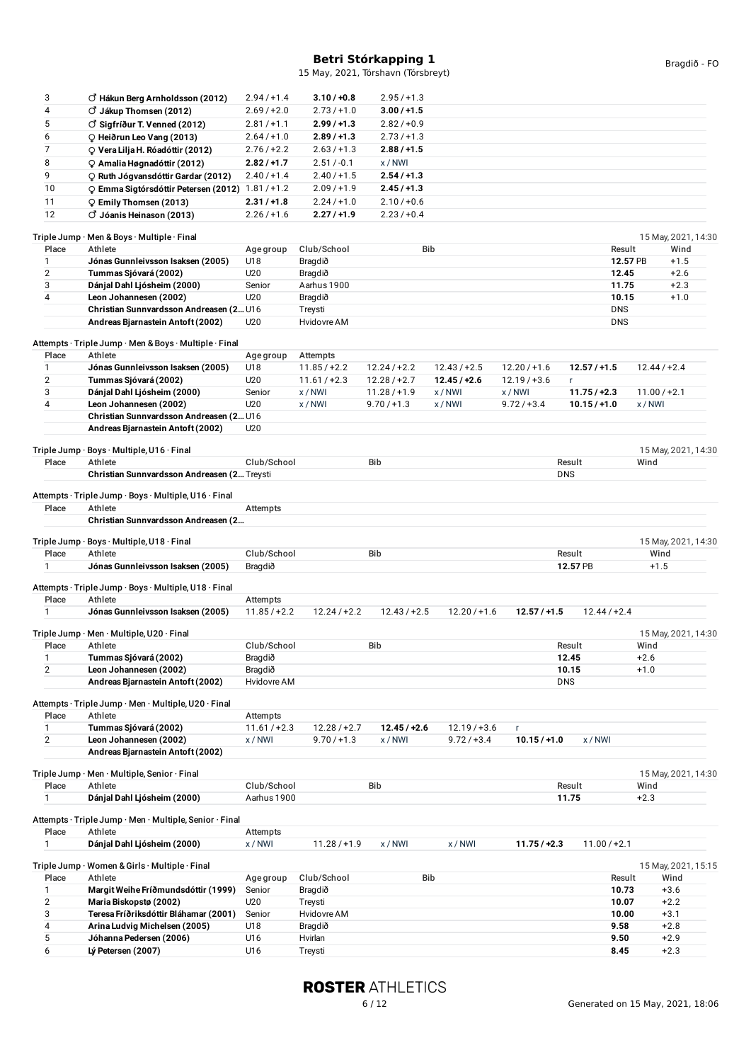| 4<br>○ Jákup Thomsen (2012)<br>$2.69/+2.0$<br>$2.73/+1.0$<br>$3.00 / +1.5$<br>5<br>$\circlearrowleft$ Sigfríður T. Venned (2012)<br>$2.81 / +1.1$<br>$2.99/+1.3$<br>$2.82 / +0.9$<br>6<br>C Heiðrun Leo Vang (2013)<br>$2.64 / +1.0$<br>$2.89/+1.3$<br>$2.73 / +1.3$<br>7<br>$2.76 / +2.2$<br>$2.63 / +1.3$<br>$2.88 / +1.5$<br>Q Vera Lilja H. Róadóttir (2012)<br>8<br>$2.82 / +1.7$<br>$2.51 / -0.1$<br>x/NWI<br>O Amalia Høgnadóttir (2012)<br>9<br>$2.40 / +1.4$<br>$2.40/+1.5$<br>$2.54 / +1.3$<br>P Ruth Jógvansdóttir Gardar (2012)<br>10<br>Q Emma Sigtórsdóttir Petersen (2012) 1.81 / +1.2<br>$2.09/+1.9$<br>$2.45 / +1.3$<br>11<br>$2.31 / +1.8$<br>$2.24 / +1.0$<br>$2.10 / +0.6$<br>P Emily Thomsen (2013)<br>12<br>○ Jóanis Heinason (2013)<br>$2.26 / +1.6$<br>2.27/11.9<br>$2.23/+0.4$<br>Triple Jump · Men & Boys · Multiple · Final<br><b>Bib</b><br>Place<br>Athlete<br>Club/School<br>Result<br>Wind<br>Age group<br>12.57 PB<br>Jónas Gunnleivsson Isaksen (2005)<br>U18<br>Bragdið<br>$+1.5$<br>1<br>$\overline{2}$<br>Tummas Sjóvará (2002)<br>U20<br>$+2.6$<br>Bragdið<br>12.45<br>3<br>Dánjal Dahl Ljósheim (2000)<br>Aarhus 1900<br>11.75<br>$+2.3$<br>Senior<br>4<br>U20<br>Leon Johannesen (2002)<br>Bragdið<br>10.15<br>$+1.0$<br>Christian Sunnvardsson Andreasen (2 U16<br>Treysti<br><b>DNS</b><br>Hvidovre AM<br>Andreas Bjarnastein Antoft (2002)<br>U20<br><b>DNS</b><br>Attempts · Triple Jump · Men & Boys · Multiple · Final<br>Place<br>Athlete<br>Age group<br>Attempts<br>Jónas Gunnleivsson Isaksen (2005)<br>$12.43 / +2.5$<br>U18<br>$11.85 / +2.2$<br>$12.24 / +2.2$<br>$12.20 / +1.6$<br>$12.57 / +1.5$<br>$12.44 / +2.4$<br>1<br>$\overline{2}$<br>$12.45 / +2.6$<br>Tummas Sjóvará (2002)<br>U <sub>20</sub><br>$11.61 / +2.3$<br>$12.28 / +2.7$<br>$12.19/ + 3.6$<br>$\mathsf{r}$<br>3<br>$11.00 / +2.1$<br>Dánjal Dahl Ljósheim (2000)<br>Senior<br>x/NWI<br>$11.28 / +1.9$<br>x/NWI<br>x/NWI<br>$11.75 / +2.3$<br>4<br>U20<br>Leon Johannesen (2002)<br>x/NWI<br>$9.70 / +1.3$<br>x/NWI<br>$9.72 / +3.4$<br>x/NWI<br>$10.15 / +1.0$<br>Christian Sunnvardsson Andreasen (2 U16<br>Andreas Bjarnastein Antoft (2002)<br>U20<br>Triple Jump · Boys · Multiple, U16 · Final<br>Athlete<br>Club/School<br><b>Bib</b><br>Place<br>Result<br>Wind<br><b>DNS</b><br>Christian Sunnvardsson Andreasen (2 Treysti<br>Attempts · Triple Jump · Boys · Multiple, U16 · Final<br>Place<br>Athlete<br>Attempts<br>Christian Sunnvardsson Andreasen (2<br>Triple Jump · Boys · Multiple, U18 · Final<br>15 May, 2021, 14:30<br>Athlete<br>Club/School<br><b>Bib</b><br>Place<br>Result<br>Wind<br>Jónas Gunnleivsson Isaksen (2005)<br>Bragdið<br>12.57 PB<br>$+1.5$<br>1<br>Attempts · Triple Jump · Boys · Multiple, U18 · Final<br>Place<br>Athlete<br>Attempts<br>1<br>Jónas Gunnleivsson Isaksen (2005)<br>$11.85 / +2.2$<br>$12.24 / +2.2$<br>$12.43 / +2.5$<br>$12.20 / +1.6$<br>$12.44 / +2.4$<br>12.57/11.5<br>Triple Jump · Men · Multiple, U20 · Final<br>Place<br>Athlete<br>Club/School<br>Bib<br>Result<br>Wind<br>Tummas Sjóvará (2002)<br>Bragdið<br>12.45<br>$+2.6$<br>1<br>$\overline{2}$<br>Leon Johannesen (2002)<br>Bragdið<br>10.15<br>$+1.0$<br>Andreas Bjarnastein Antoft (2002)<br>Hvidovre AM<br><b>DNS</b><br>Attempts · Triple Jump · Men · Multiple, U20 · Final<br>Athlete<br>Place<br>Attempts<br>Tummas Sjóvará (2002)<br>$12.45 / +2.6$<br>1<br>$11.61 / +2.3$<br>$12.28 / +2.7$<br>$12.19 / +3.6$<br>r.<br>$\overline{2}$<br>Leon Johannesen (2002)<br>$9.72 / +3.4$<br>$10.15 / +1.0$<br>x/NWI<br>$9.70 / +1.3$<br>x/NWI<br>x/NWI<br>Andreas Biarnastein Antoft (2002)<br>Triple Jump · Men · Multiple, Senior · Final<br>15 May, 2021, 14:30<br>Athlete<br>Club/School<br><b>Bib</b><br>Place<br>Result<br>Wind<br>Dánjal Dahl Ljósheim (2000)<br>11.75<br>$+2.3$<br>1<br>Aarhus 1900<br>Attempts · Triple Jump · Men · Multiple, Senior · Final<br>Athlete<br>Place<br>Attempts<br>Dánjal Dahl Ljósheim (2000)<br>1<br>x/NWI<br>$11.28 / +1.9$<br>x/NWI<br>x/NWI<br>$11.75 / +2.3$<br>$11.00 / +2.1$<br>Triple Jump · Women & Girls · Multiple · Final<br>15 May, 2021, 15:15<br>Place<br>Athlete<br><b>Bib</b><br>Club/School<br>Result<br>Wind<br>Age group<br>Margit Weihe Fríðmundsdóttir (1999)<br>Senior<br>10.73<br>$+3.6$<br>Bragdið<br>1<br>$\overline{2}$<br>U20<br>Treysti<br>Maria Biskopstø (2002)<br>10.07<br>$+2.2$<br>3<br>Teresa Fríðriksdóttir Bláhamar (2001)<br>Senior<br>Hvidovre AM<br>10.00<br>$+3.1$<br>4<br>Arina Ludvig Michelsen (2005)<br>U18<br>9.58<br>$+2.8$<br>Bragdið<br>5<br>$+2.9$<br>Jóhanna Pedersen (2006)<br>U16<br>Hvirlan<br>9.50<br>6<br>Lý Petersen (2007)<br>U16<br>8.45<br>$+2.3$<br>Treysti |   |                                       |             |               |             |  |  |                     |  |
|----------------------------------------------------------------------------------------------------------------------------------------------------------------------------------------------------------------------------------------------------------------------------------------------------------------------------------------------------------------------------------------------------------------------------------------------------------------------------------------------------------------------------------------------------------------------------------------------------------------------------------------------------------------------------------------------------------------------------------------------------------------------------------------------------------------------------------------------------------------------------------------------------------------------------------------------------------------------------------------------------------------------------------------------------------------------------------------------------------------------------------------------------------------------------------------------------------------------------------------------------------------------------------------------------------------------------------------------------------------------------------------------------------------------------------------------------------------------------------------------------------------------------------------------------------------------------------------------------------------------------------------------------------------------------------------------------------------------------------------------------------------------------------------------------------------------------------------------------------------------------------------------------------------------------------------------------------------------------------------------------------------------------------------------------------------------------------------------------------------------------------------------------------------------------------------------------------------------------------------------------------------------------------------------------------------------------------------------------------------------------------------------------------------------------------------------------------------------------------------------------------------------------------------------------------------------------------------------------------------------------------------------------------------------------------------------------------------------------------------------------------------------------------------------------------------------------------------------------------------------------------------------------------------------------------------------------------------------------------------------------------------------------------------------------------------------------------------------------------------------------------------------------------------------------------------------------------------------------------------------------------------------------------------------------------------------------------------------------------------------------------------------------------------------------------------------------------------------------------------------------------------------------------------------------------------------------------------------------------------------------------------------------------------------------------------------------------------------------------------------------------------------------------------------------------------------------------------------------------------------------------------------------------------------------------------------------------------------------------------------------------------------------------------------------------------------------------------------------------------------------------------------------------------------------------------------------------------------------------------------------------------------------------------------------------------------------------------------------------------------------------------------------------------------------------------------------------------------------------------------------------------------------------------------------------------------------------------------------------------------------------------------------------------------------------------------------------------------|---|---------------------------------------|-------------|---------------|-------------|--|--|---------------------|--|
|                                                                                                                                                                                                                                                                                                                                                                                                                                                                                                                                                                                                                                                                                                                                                                                                                                                                                                                                                                                                                                                                                                                                                                                                                                                                                                                                                                                                                                                                                                                                                                                                                                                                                                                                                                                                                                                                                                                                                                                                                                                                                                                                                                                                                                                                                                                                                                                                                                                                                                                                                                                                                                                                                                                                                                                                                                                                                                                                                                                                                                                                                                                                                                                                                                                                                                                                                                                                                                                                                                                                                                                                                                                                                                                                                                                                                                                                                                                                                                                                                                                                                                                                                                                                                                                                                                                                                                                                                                                                                                                                                                                                                                                                                                                      | 3 | $\circ$ Hákun Berg Arnholdsson (2012) | $2.94/+1.4$ | $3.10 / +0.8$ | $2.95/+1.3$ |  |  |                     |  |
|                                                                                                                                                                                                                                                                                                                                                                                                                                                                                                                                                                                                                                                                                                                                                                                                                                                                                                                                                                                                                                                                                                                                                                                                                                                                                                                                                                                                                                                                                                                                                                                                                                                                                                                                                                                                                                                                                                                                                                                                                                                                                                                                                                                                                                                                                                                                                                                                                                                                                                                                                                                                                                                                                                                                                                                                                                                                                                                                                                                                                                                                                                                                                                                                                                                                                                                                                                                                                                                                                                                                                                                                                                                                                                                                                                                                                                                                                                                                                                                                                                                                                                                                                                                                                                                                                                                                                                                                                                                                                                                                                                                                                                                                                                                      |   |                                       |             |               |             |  |  |                     |  |
|                                                                                                                                                                                                                                                                                                                                                                                                                                                                                                                                                                                                                                                                                                                                                                                                                                                                                                                                                                                                                                                                                                                                                                                                                                                                                                                                                                                                                                                                                                                                                                                                                                                                                                                                                                                                                                                                                                                                                                                                                                                                                                                                                                                                                                                                                                                                                                                                                                                                                                                                                                                                                                                                                                                                                                                                                                                                                                                                                                                                                                                                                                                                                                                                                                                                                                                                                                                                                                                                                                                                                                                                                                                                                                                                                                                                                                                                                                                                                                                                                                                                                                                                                                                                                                                                                                                                                                                                                                                                                                                                                                                                                                                                                                                      |   |                                       |             |               |             |  |  |                     |  |
|                                                                                                                                                                                                                                                                                                                                                                                                                                                                                                                                                                                                                                                                                                                                                                                                                                                                                                                                                                                                                                                                                                                                                                                                                                                                                                                                                                                                                                                                                                                                                                                                                                                                                                                                                                                                                                                                                                                                                                                                                                                                                                                                                                                                                                                                                                                                                                                                                                                                                                                                                                                                                                                                                                                                                                                                                                                                                                                                                                                                                                                                                                                                                                                                                                                                                                                                                                                                                                                                                                                                                                                                                                                                                                                                                                                                                                                                                                                                                                                                                                                                                                                                                                                                                                                                                                                                                                                                                                                                                                                                                                                                                                                                                                                      |   |                                       |             |               |             |  |  |                     |  |
|                                                                                                                                                                                                                                                                                                                                                                                                                                                                                                                                                                                                                                                                                                                                                                                                                                                                                                                                                                                                                                                                                                                                                                                                                                                                                                                                                                                                                                                                                                                                                                                                                                                                                                                                                                                                                                                                                                                                                                                                                                                                                                                                                                                                                                                                                                                                                                                                                                                                                                                                                                                                                                                                                                                                                                                                                                                                                                                                                                                                                                                                                                                                                                                                                                                                                                                                                                                                                                                                                                                                                                                                                                                                                                                                                                                                                                                                                                                                                                                                                                                                                                                                                                                                                                                                                                                                                                                                                                                                                                                                                                                                                                                                                                                      |   |                                       |             |               |             |  |  |                     |  |
|                                                                                                                                                                                                                                                                                                                                                                                                                                                                                                                                                                                                                                                                                                                                                                                                                                                                                                                                                                                                                                                                                                                                                                                                                                                                                                                                                                                                                                                                                                                                                                                                                                                                                                                                                                                                                                                                                                                                                                                                                                                                                                                                                                                                                                                                                                                                                                                                                                                                                                                                                                                                                                                                                                                                                                                                                                                                                                                                                                                                                                                                                                                                                                                                                                                                                                                                                                                                                                                                                                                                                                                                                                                                                                                                                                                                                                                                                                                                                                                                                                                                                                                                                                                                                                                                                                                                                                                                                                                                                                                                                                                                                                                                                                                      |   |                                       |             |               |             |  |  |                     |  |
|                                                                                                                                                                                                                                                                                                                                                                                                                                                                                                                                                                                                                                                                                                                                                                                                                                                                                                                                                                                                                                                                                                                                                                                                                                                                                                                                                                                                                                                                                                                                                                                                                                                                                                                                                                                                                                                                                                                                                                                                                                                                                                                                                                                                                                                                                                                                                                                                                                                                                                                                                                                                                                                                                                                                                                                                                                                                                                                                                                                                                                                                                                                                                                                                                                                                                                                                                                                                                                                                                                                                                                                                                                                                                                                                                                                                                                                                                                                                                                                                                                                                                                                                                                                                                                                                                                                                                                                                                                                                                                                                                                                                                                                                                                                      |   |                                       |             |               |             |  |  |                     |  |
|                                                                                                                                                                                                                                                                                                                                                                                                                                                                                                                                                                                                                                                                                                                                                                                                                                                                                                                                                                                                                                                                                                                                                                                                                                                                                                                                                                                                                                                                                                                                                                                                                                                                                                                                                                                                                                                                                                                                                                                                                                                                                                                                                                                                                                                                                                                                                                                                                                                                                                                                                                                                                                                                                                                                                                                                                                                                                                                                                                                                                                                                                                                                                                                                                                                                                                                                                                                                                                                                                                                                                                                                                                                                                                                                                                                                                                                                                                                                                                                                                                                                                                                                                                                                                                                                                                                                                                                                                                                                                                                                                                                                                                                                                                                      |   |                                       |             |               |             |  |  |                     |  |
|                                                                                                                                                                                                                                                                                                                                                                                                                                                                                                                                                                                                                                                                                                                                                                                                                                                                                                                                                                                                                                                                                                                                                                                                                                                                                                                                                                                                                                                                                                                                                                                                                                                                                                                                                                                                                                                                                                                                                                                                                                                                                                                                                                                                                                                                                                                                                                                                                                                                                                                                                                                                                                                                                                                                                                                                                                                                                                                                                                                                                                                                                                                                                                                                                                                                                                                                                                                                                                                                                                                                                                                                                                                                                                                                                                                                                                                                                                                                                                                                                                                                                                                                                                                                                                                                                                                                                                                                                                                                                                                                                                                                                                                                                                                      |   |                                       |             |               |             |  |  |                     |  |
|                                                                                                                                                                                                                                                                                                                                                                                                                                                                                                                                                                                                                                                                                                                                                                                                                                                                                                                                                                                                                                                                                                                                                                                                                                                                                                                                                                                                                                                                                                                                                                                                                                                                                                                                                                                                                                                                                                                                                                                                                                                                                                                                                                                                                                                                                                                                                                                                                                                                                                                                                                                                                                                                                                                                                                                                                                                                                                                                                                                                                                                                                                                                                                                                                                                                                                                                                                                                                                                                                                                                                                                                                                                                                                                                                                                                                                                                                                                                                                                                                                                                                                                                                                                                                                                                                                                                                                                                                                                                                                                                                                                                                                                                                                                      |   |                                       |             |               |             |  |  |                     |  |
|                                                                                                                                                                                                                                                                                                                                                                                                                                                                                                                                                                                                                                                                                                                                                                                                                                                                                                                                                                                                                                                                                                                                                                                                                                                                                                                                                                                                                                                                                                                                                                                                                                                                                                                                                                                                                                                                                                                                                                                                                                                                                                                                                                                                                                                                                                                                                                                                                                                                                                                                                                                                                                                                                                                                                                                                                                                                                                                                                                                                                                                                                                                                                                                                                                                                                                                                                                                                                                                                                                                                                                                                                                                                                                                                                                                                                                                                                                                                                                                                                                                                                                                                                                                                                                                                                                                                                                                                                                                                                                                                                                                                                                                                                                                      |   |                                       |             |               |             |  |  |                     |  |
|                                                                                                                                                                                                                                                                                                                                                                                                                                                                                                                                                                                                                                                                                                                                                                                                                                                                                                                                                                                                                                                                                                                                                                                                                                                                                                                                                                                                                                                                                                                                                                                                                                                                                                                                                                                                                                                                                                                                                                                                                                                                                                                                                                                                                                                                                                                                                                                                                                                                                                                                                                                                                                                                                                                                                                                                                                                                                                                                                                                                                                                                                                                                                                                                                                                                                                                                                                                                                                                                                                                                                                                                                                                                                                                                                                                                                                                                                                                                                                                                                                                                                                                                                                                                                                                                                                                                                                                                                                                                                                                                                                                                                                                                                                                      |   |                                       |             |               |             |  |  | 15 May, 2021, 14:30 |  |
|                                                                                                                                                                                                                                                                                                                                                                                                                                                                                                                                                                                                                                                                                                                                                                                                                                                                                                                                                                                                                                                                                                                                                                                                                                                                                                                                                                                                                                                                                                                                                                                                                                                                                                                                                                                                                                                                                                                                                                                                                                                                                                                                                                                                                                                                                                                                                                                                                                                                                                                                                                                                                                                                                                                                                                                                                                                                                                                                                                                                                                                                                                                                                                                                                                                                                                                                                                                                                                                                                                                                                                                                                                                                                                                                                                                                                                                                                                                                                                                                                                                                                                                                                                                                                                                                                                                                                                                                                                                                                                                                                                                                                                                                                                                      |   |                                       |             |               |             |  |  |                     |  |
|                                                                                                                                                                                                                                                                                                                                                                                                                                                                                                                                                                                                                                                                                                                                                                                                                                                                                                                                                                                                                                                                                                                                                                                                                                                                                                                                                                                                                                                                                                                                                                                                                                                                                                                                                                                                                                                                                                                                                                                                                                                                                                                                                                                                                                                                                                                                                                                                                                                                                                                                                                                                                                                                                                                                                                                                                                                                                                                                                                                                                                                                                                                                                                                                                                                                                                                                                                                                                                                                                                                                                                                                                                                                                                                                                                                                                                                                                                                                                                                                                                                                                                                                                                                                                                                                                                                                                                                                                                                                                                                                                                                                                                                                                                                      |   |                                       |             |               |             |  |  |                     |  |
|                                                                                                                                                                                                                                                                                                                                                                                                                                                                                                                                                                                                                                                                                                                                                                                                                                                                                                                                                                                                                                                                                                                                                                                                                                                                                                                                                                                                                                                                                                                                                                                                                                                                                                                                                                                                                                                                                                                                                                                                                                                                                                                                                                                                                                                                                                                                                                                                                                                                                                                                                                                                                                                                                                                                                                                                                                                                                                                                                                                                                                                                                                                                                                                                                                                                                                                                                                                                                                                                                                                                                                                                                                                                                                                                                                                                                                                                                                                                                                                                                                                                                                                                                                                                                                                                                                                                                                                                                                                                                                                                                                                                                                                                                                                      |   |                                       |             |               |             |  |  |                     |  |
|                                                                                                                                                                                                                                                                                                                                                                                                                                                                                                                                                                                                                                                                                                                                                                                                                                                                                                                                                                                                                                                                                                                                                                                                                                                                                                                                                                                                                                                                                                                                                                                                                                                                                                                                                                                                                                                                                                                                                                                                                                                                                                                                                                                                                                                                                                                                                                                                                                                                                                                                                                                                                                                                                                                                                                                                                                                                                                                                                                                                                                                                                                                                                                                                                                                                                                                                                                                                                                                                                                                                                                                                                                                                                                                                                                                                                                                                                                                                                                                                                                                                                                                                                                                                                                                                                                                                                                                                                                                                                                                                                                                                                                                                                                                      |   |                                       |             |               |             |  |  |                     |  |
|                                                                                                                                                                                                                                                                                                                                                                                                                                                                                                                                                                                                                                                                                                                                                                                                                                                                                                                                                                                                                                                                                                                                                                                                                                                                                                                                                                                                                                                                                                                                                                                                                                                                                                                                                                                                                                                                                                                                                                                                                                                                                                                                                                                                                                                                                                                                                                                                                                                                                                                                                                                                                                                                                                                                                                                                                                                                                                                                                                                                                                                                                                                                                                                                                                                                                                                                                                                                                                                                                                                                                                                                                                                                                                                                                                                                                                                                                                                                                                                                                                                                                                                                                                                                                                                                                                                                                                                                                                                                                                                                                                                                                                                                                                                      |   |                                       |             |               |             |  |  |                     |  |
|                                                                                                                                                                                                                                                                                                                                                                                                                                                                                                                                                                                                                                                                                                                                                                                                                                                                                                                                                                                                                                                                                                                                                                                                                                                                                                                                                                                                                                                                                                                                                                                                                                                                                                                                                                                                                                                                                                                                                                                                                                                                                                                                                                                                                                                                                                                                                                                                                                                                                                                                                                                                                                                                                                                                                                                                                                                                                                                                                                                                                                                                                                                                                                                                                                                                                                                                                                                                                                                                                                                                                                                                                                                                                                                                                                                                                                                                                                                                                                                                                                                                                                                                                                                                                                                                                                                                                                                                                                                                                                                                                                                                                                                                                                                      |   |                                       |             |               |             |  |  |                     |  |
|                                                                                                                                                                                                                                                                                                                                                                                                                                                                                                                                                                                                                                                                                                                                                                                                                                                                                                                                                                                                                                                                                                                                                                                                                                                                                                                                                                                                                                                                                                                                                                                                                                                                                                                                                                                                                                                                                                                                                                                                                                                                                                                                                                                                                                                                                                                                                                                                                                                                                                                                                                                                                                                                                                                                                                                                                                                                                                                                                                                                                                                                                                                                                                                                                                                                                                                                                                                                                                                                                                                                                                                                                                                                                                                                                                                                                                                                                                                                                                                                                                                                                                                                                                                                                                                                                                                                                                                                                                                                                                                                                                                                                                                                                                                      |   |                                       |             |               |             |  |  |                     |  |
|                                                                                                                                                                                                                                                                                                                                                                                                                                                                                                                                                                                                                                                                                                                                                                                                                                                                                                                                                                                                                                                                                                                                                                                                                                                                                                                                                                                                                                                                                                                                                                                                                                                                                                                                                                                                                                                                                                                                                                                                                                                                                                                                                                                                                                                                                                                                                                                                                                                                                                                                                                                                                                                                                                                                                                                                                                                                                                                                                                                                                                                                                                                                                                                                                                                                                                                                                                                                                                                                                                                                                                                                                                                                                                                                                                                                                                                                                                                                                                                                                                                                                                                                                                                                                                                                                                                                                                                                                                                                                                                                                                                                                                                                                                                      |   |                                       |             |               |             |  |  |                     |  |
|                                                                                                                                                                                                                                                                                                                                                                                                                                                                                                                                                                                                                                                                                                                                                                                                                                                                                                                                                                                                                                                                                                                                                                                                                                                                                                                                                                                                                                                                                                                                                                                                                                                                                                                                                                                                                                                                                                                                                                                                                                                                                                                                                                                                                                                                                                                                                                                                                                                                                                                                                                                                                                                                                                                                                                                                                                                                                                                                                                                                                                                                                                                                                                                                                                                                                                                                                                                                                                                                                                                                                                                                                                                                                                                                                                                                                                                                                                                                                                                                                                                                                                                                                                                                                                                                                                                                                                                                                                                                                                                                                                                                                                                                                                                      |   |                                       |             |               |             |  |  |                     |  |
|                                                                                                                                                                                                                                                                                                                                                                                                                                                                                                                                                                                                                                                                                                                                                                                                                                                                                                                                                                                                                                                                                                                                                                                                                                                                                                                                                                                                                                                                                                                                                                                                                                                                                                                                                                                                                                                                                                                                                                                                                                                                                                                                                                                                                                                                                                                                                                                                                                                                                                                                                                                                                                                                                                                                                                                                                                                                                                                                                                                                                                                                                                                                                                                                                                                                                                                                                                                                                                                                                                                                                                                                                                                                                                                                                                                                                                                                                                                                                                                                                                                                                                                                                                                                                                                                                                                                                                                                                                                                                                                                                                                                                                                                                                                      |   |                                       |             |               |             |  |  |                     |  |
|                                                                                                                                                                                                                                                                                                                                                                                                                                                                                                                                                                                                                                                                                                                                                                                                                                                                                                                                                                                                                                                                                                                                                                                                                                                                                                                                                                                                                                                                                                                                                                                                                                                                                                                                                                                                                                                                                                                                                                                                                                                                                                                                                                                                                                                                                                                                                                                                                                                                                                                                                                                                                                                                                                                                                                                                                                                                                                                                                                                                                                                                                                                                                                                                                                                                                                                                                                                                                                                                                                                                                                                                                                                                                                                                                                                                                                                                                                                                                                                                                                                                                                                                                                                                                                                                                                                                                                                                                                                                                                                                                                                                                                                                                                                      |   |                                       |             |               |             |  |  |                     |  |
|                                                                                                                                                                                                                                                                                                                                                                                                                                                                                                                                                                                                                                                                                                                                                                                                                                                                                                                                                                                                                                                                                                                                                                                                                                                                                                                                                                                                                                                                                                                                                                                                                                                                                                                                                                                                                                                                                                                                                                                                                                                                                                                                                                                                                                                                                                                                                                                                                                                                                                                                                                                                                                                                                                                                                                                                                                                                                                                                                                                                                                                                                                                                                                                                                                                                                                                                                                                                                                                                                                                                                                                                                                                                                                                                                                                                                                                                                                                                                                                                                                                                                                                                                                                                                                                                                                                                                                                                                                                                                                                                                                                                                                                                                                                      |   |                                       |             |               |             |  |  |                     |  |
|                                                                                                                                                                                                                                                                                                                                                                                                                                                                                                                                                                                                                                                                                                                                                                                                                                                                                                                                                                                                                                                                                                                                                                                                                                                                                                                                                                                                                                                                                                                                                                                                                                                                                                                                                                                                                                                                                                                                                                                                                                                                                                                                                                                                                                                                                                                                                                                                                                                                                                                                                                                                                                                                                                                                                                                                                                                                                                                                                                                                                                                                                                                                                                                                                                                                                                                                                                                                                                                                                                                                                                                                                                                                                                                                                                                                                                                                                                                                                                                                                                                                                                                                                                                                                                                                                                                                                                                                                                                                                                                                                                                                                                                                                                                      |   |                                       |             |               |             |  |  |                     |  |
|                                                                                                                                                                                                                                                                                                                                                                                                                                                                                                                                                                                                                                                                                                                                                                                                                                                                                                                                                                                                                                                                                                                                                                                                                                                                                                                                                                                                                                                                                                                                                                                                                                                                                                                                                                                                                                                                                                                                                                                                                                                                                                                                                                                                                                                                                                                                                                                                                                                                                                                                                                                                                                                                                                                                                                                                                                                                                                                                                                                                                                                                                                                                                                                                                                                                                                                                                                                                                                                                                                                                                                                                                                                                                                                                                                                                                                                                                                                                                                                                                                                                                                                                                                                                                                                                                                                                                                                                                                                                                                                                                                                                                                                                                                                      |   |                                       |             |               |             |  |  |                     |  |
|                                                                                                                                                                                                                                                                                                                                                                                                                                                                                                                                                                                                                                                                                                                                                                                                                                                                                                                                                                                                                                                                                                                                                                                                                                                                                                                                                                                                                                                                                                                                                                                                                                                                                                                                                                                                                                                                                                                                                                                                                                                                                                                                                                                                                                                                                                                                                                                                                                                                                                                                                                                                                                                                                                                                                                                                                                                                                                                                                                                                                                                                                                                                                                                                                                                                                                                                                                                                                                                                                                                                                                                                                                                                                                                                                                                                                                                                                                                                                                                                                                                                                                                                                                                                                                                                                                                                                                                                                                                                                                                                                                                                                                                                                                                      |   |                                       |             |               |             |  |  |                     |  |
|                                                                                                                                                                                                                                                                                                                                                                                                                                                                                                                                                                                                                                                                                                                                                                                                                                                                                                                                                                                                                                                                                                                                                                                                                                                                                                                                                                                                                                                                                                                                                                                                                                                                                                                                                                                                                                                                                                                                                                                                                                                                                                                                                                                                                                                                                                                                                                                                                                                                                                                                                                                                                                                                                                                                                                                                                                                                                                                                                                                                                                                                                                                                                                                                                                                                                                                                                                                                                                                                                                                                                                                                                                                                                                                                                                                                                                                                                                                                                                                                                                                                                                                                                                                                                                                                                                                                                                                                                                                                                                                                                                                                                                                                                                                      |   |                                       |             |               |             |  |  |                     |  |
|                                                                                                                                                                                                                                                                                                                                                                                                                                                                                                                                                                                                                                                                                                                                                                                                                                                                                                                                                                                                                                                                                                                                                                                                                                                                                                                                                                                                                                                                                                                                                                                                                                                                                                                                                                                                                                                                                                                                                                                                                                                                                                                                                                                                                                                                                                                                                                                                                                                                                                                                                                                                                                                                                                                                                                                                                                                                                                                                                                                                                                                                                                                                                                                                                                                                                                                                                                                                                                                                                                                                                                                                                                                                                                                                                                                                                                                                                                                                                                                                                                                                                                                                                                                                                                                                                                                                                                                                                                                                                                                                                                                                                                                                                                                      |   |                                       |             |               |             |  |  | 15 May, 2021, 14:30 |  |
|                                                                                                                                                                                                                                                                                                                                                                                                                                                                                                                                                                                                                                                                                                                                                                                                                                                                                                                                                                                                                                                                                                                                                                                                                                                                                                                                                                                                                                                                                                                                                                                                                                                                                                                                                                                                                                                                                                                                                                                                                                                                                                                                                                                                                                                                                                                                                                                                                                                                                                                                                                                                                                                                                                                                                                                                                                                                                                                                                                                                                                                                                                                                                                                                                                                                                                                                                                                                                                                                                                                                                                                                                                                                                                                                                                                                                                                                                                                                                                                                                                                                                                                                                                                                                                                                                                                                                                                                                                                                                                                                                                                                                                                                                                                      |   |                                       |             |               |             |  |  |                     |  |
|                                                                                                                                                                                                                                                                                                                                                                                                                                                                                                                                                                                                                                                                                                                                                                                                                                                                                                                                                                                                                                                                                                                                                                                                                                                                                                                                                                                                                                                                                                                                                                                                                                                                                                                                                                                                                                                                                                                                                                                                                                                                                                                                                                                                                                                                                                                                                                                                                                                                                                                                                                                                                                                                                                                                                                                                                                                                                                                                                                                                                                                                                                                                                                                                                                                                                                                                                                                                                                                                                                                                                                                                                                                                                                                                                                                                                                                                                                                                                                                                                                                                                                                                                                                                                                                                                                                                                                                                                                                                                                                                                                                                                                                                                                                      |   |                                       |             |               |             |  |  |                     |  |
|                                                                                                                                                                                                                                                                                                                                                                                                                                                                                                                                                                                                                                                                                                                                                                                                                                                                                                                                                                                                                                                                                                                                                                                                                                                                                                                                                                                                                                                                                                                                                                                                                                                                                                                                                                                                                                                                                                                                                                                                                                                                                                                                                                                                                                                                                                                                                                                                                                                                                                                                                                                                                                                                                                                                                                                                                                                                                                                                                                                                                                                                                                                                                                                                                                                                                                                                                                                                                                                                                                                                                                                                                                                                                                                                                                                                                                                                                                                                                                                                                                                                                                                                                                                                                                                                                                                                                                                                                                                                                                                                                                                                                                                                                                                      |   |                                       |             |               |             |  |  |                     |  |
|                                                                                                                                                                                                                                                                                                                                                                                                                                                                                                                                                                                                                                                                                                                                                                                                                                                                                                                                                                                                                                                                                                                                                                                                                                                                                                                                                                                                                                                                                                                                                                                                                                                                                                                                                                                                                                                                                                                                                                                                                                                                                                                                                                                                                                                                                                                                                                                                                                                                                                                                                                                                                                                                                                                                                                                                                                                                                                                                                                                                                                                                                                                                                                                                                                                                                                                                                                                                                                                                                                                                                                                                                                                                                                                                                                                                                                                                                                                                                                                                                                                                                                                                                                                                                                                                                                                                                                                                                                                                                                                                                                                                                                                                                                                      |   |                                       |             |               |             |  |  |                     |  |
|                                                                                                                                                                                                                                                                                                                                                                                                                                                                                                                                                                                                                                                                                                                                                                                                                                                                                                                                                                                                                                                                                                                                                                                                                                                                                                                                                                                                                                                                                                                                                                                                                                                                                                                                                                                                                                                                                                                                                                                                                                                                                                                                                                                                                                                                                                                                                                                                                                                                                                                                                                                                                                                                                                                                                                                                                                                                                                                                                                                                                                                                                                                                                                                                                                                                                                                                                                                                                                                                                                                                                                                                                                                                                                                                                                                                                                                                                                                                                                                                                                                                                                                                                                                                                                                                                                                                                                                                                                                                                                                                                                                                                                                                                                                      |   |                                       |             |               |             |  |  |                     |  |
|                                                                                                                                                                                                                                                                                                                                                                                                                                                                                                                                                                                                                                                                                                                                                                                                                                                                                                                                                                                                                                                                                                                                                                                                                                                                                                                                                                                                                                                                                                                                                                                                                                                                                                                                                                                                                                                                                                                                                                                                                                                                                                                                                                                                                                                                                                                                                                                                                                                                                                                                                                                                                                                                                                                                                                                                                                                                                                                                                                                                                                                                                                                                                                                                                                                                                                                                                                                                                                                                                                                                                                                                                                                                                                                                                                                                                                                                                                                                                                                                                                                                                                                                                                                                                                                                                                                                                                                                                                                                                                                                                                                                                                                                                                                      |   |                                       |             |               |             |  |  |                     |  |
|                                                                                                                                                                                                                                                                                                                                                                                                                                                                                                                                                                                                                                                                                                                                                                                                                                                                                                                                                                                                                                                                                                                                                                                                                                                                                                                                                                                                                                                                                                                                                                                                                                                                                                                                                                                                                                                                                                                                                                                                                                                                                                                                                                                                                                                                                                                                                                                                                                                                                                                                                                                                                                                                                                                                                                                                                                                                                                                                                                                                                                                                                                                                                                                                                                                                                                                                                                                                                                                                                                                                                                                                                                                                                                                                                                                                                                                                                                                                                                                                                                                                                                                                                                                                                                                                                                                                                                                                                                                                                                                                                                                                                                                                                                                      |   |                                       |             |               |             |  |  |                     |  |
|                                                                                                                                                                                                                                                                                                                                                                                                                                                                                                                                                                                                                                                                                                                                                                                                                                                                                                                                                                                                                                                                                                                                                                                                                                                                                                                                                                                                                                                                                                                                                                                                                                                                                                                                                                                                                                                                                                                                                                                                                                                                                                                                                                                                                                                                                                                                                                                                                                                                                                                                                                                                                                                                                                                                                                                                                                                                                                                                                                                                                                                                                                                                                                                                                                                                                                                                                                                                                                                                                                                                                                                                                                                                                                                                                                                                                                                                                                                                                                                                                                                                                                                                                                                                                                                                                                                                                                                                                                                                                                                                                                                                                                                                                                                      |   |                                       |             |               |             |  |  |                     |  |
|                                                                                                                                                                                                                                                                                                                                                                                                                                                                                                                                                                                                                                                                                                                                                                                                                                                                                                                                                                                                                                                                                                                                                                                                                                                                                                                                                                                                                                                                                                                                                                                                                                                                                                                                                                                                                                                                                                                                                                                                                                                                                                                                                                                                                                                                                                                                                                                                                                                                                                                                                                                                                                                                                                                                                                                                                                                                                                                                                                                                                                                                                                                                                                                                                                                                                                                                                                                                                                                                                                                                                                                                                                                                                                                                                                                                                                                                                                                                                                                                                                                                                                                                                                                                                                                                                                                                                                                                                                                                                                                                                                                                                                                                                                                      |   |                                       |             |               |             |  |  |                     |  |
|                                                                                                                                                                                                                                                                                                                                                                                                                                                                                                                                                                                                                                                                                                                                                                                                                                                                                                                                                                                                                                                                                                                                                                                                                                                                                                                                                                                                                                                                                                                                                                                                                                                                                                                                                                                                                                                                                                                                                                                                                                                                                                                                                                                                                                                                                                                                                                                                                                                                                                                                                                                                                                                                                                                                                                                                                                                                                                                                                                                                                                                                                                                                                                                                                                                                                                                                                                                                                                                                                                                                                                                                                                                                                                                                                                                                                                                                                                                                                                                                                                                                                                                                                                                                                                                                                                                                                                                                                                                                                                                                                                                                                                                                                                                      |   |                                       |             |               |             |  |  |                     |  |
|                                                                                                                                                                                                                                                                                                                                                                                                                                                                                                                                                                                                                                                                                                                                                                                                                                                                                                                                                                                                                                                                                                                                                                                                                                                                                                                                                                                                                                                                                                                                                                                                                                                                                                                                                                                                                                                                                                                                                                                                                                                                                                                                                                                                                                                                                                                                                                                                                                                                                                                                                                                                                                                                                                                                                                                                                                                                                                                                                                                                                                                                                                                                                                                                                                                                                                                                                                                                                                                                                                                                                                                                                                                                                                                                                                                                                                                                                                                                                                                                                                                                                                                                                                                                                                                                                                                                                                                                                                                                                                                                                                                                                                                                                                                      |   |                                       |             |               |             |  |  | 15 May, 2021, 14:30 |  |
|                                                                                                                                                                                                                                                                                                                                                                                                                                                                                                                                                                                                                                                                                                                                                                                                                                                                                                                                                                                                                                                                                                                                                                                                                                                                                                                                                                                                                                                                                                                                                                                                                                                                                                                                                                                                                                                                                                                                                                                                                                                                                                                                                                                                                                                                                                                                                                                                                                                                                                                                                                                                                                                                                                                                                                                                                                                                                                                                                                                                                                                                                                                                                                                                                                                                                                                                                                                                                                                                                                                                                                                                                                                                                                                                                                                                                                                                                                                                                                                                                                                                                                                                                                                                                                                                                                                                                                                                                                                                                                                                                                                                                                                                                                                      |   |                                       |             |               |             |  |  |                     |  |
|                                                                                                                                                                                                                                                                                                                                                                                                                                                                                                                                                                                                                                                                                                                                                                                                                                                                                                                                                                                                                                                                                                                                                                                                                                                                                                                                                                                                                                                                                                                                                                                                                                                                                                                                                                                                                                                                                                                                                                                                                                                                                                                                                                                                                                                                                                                                                                                                                                                                                                                                                                                                                                                                                                                                                                                                                                                                                                                                                                                                                                                                                                                                                                                                                                                                                                                                                                                                                                                                                                                                                                                                                                                                                                                                                                                                                                                                                                                                                                                                                                                                                                                                                                                                                                                                                                                                                                                                                                                                                                                                                                                                                                                                                                                      |   |                                       |             |               |             |  |  |                     |  |
|                                                                                                                                                                                                                                                                                                                                                                                                                                                                                                                                                                                                                                                                                                                                                                                                                                                                                                                                                                                                                                                                                                                                                                                                                                                                                                                                                                                                                                                                                                                                                                                                                                                                                                                                                                                                                                                                                                                                                                                                                                                                                                                                                                                                                                                                                                                                                                                                                                                                                                                                                                                                                                                                                                                                                                                                                                                                                                                                                                                                                                                                                                                                                                                                                                                                                                                                                                                                                                                                                                                                                                                                                                                                                                                                                                                                                                                                                                                                                                                                                                                                                                                                                                                                                                                                                                                                                                                                                                                                                                                                                                                                                                                                                                                      |   |                                       |             |               |             |  |  |                     |  |
|                                                                                                                                                                                                                                                                                                                                                                                                                                                                                                                                                                                                                                                                                                                                                                                                                                                                                                                                                                                                                                                                                                                                                                                                                                                                                                                                                                                                                                                                                                                                                                                                                                                                                                                                                                                                                                                                                                                                                                                                                                                                                                                                                                                                                                                                                                                                                                                                                                                                                                                                                                                                                                                                                                                                                                                                                                                                                                                                                                                                                                                                                                                                                                                                                                                                                                                                                                                                                                                                                                                                                                                                                                                                                                                                                                                                                                                                                                                                                                                                                                                                                                                                                                                                                                                                                                                                                                                                                                                                                                                                                                                                                                                                                                                      |   |                                       |             |               |             |  |  |                     |  |
|                                                                                                                                                                                                                                                                                                                                                                                                                                                                                                                                                                                                                                                                                                                                                                                                                                                                                                                                                                                                                                                                                                                                                                                                                                                                                                                                                                                                                                                                                                                                                                                                                                                                                                                                                                                                                                                                                                                                                                                                                                                                                                                                                                                                                                                                                                                                                                                                                                                                                                                                                                                                                                                                                                                                                                                                                                                                                                                                                                                                                                                                                                                                                                                                                                                                                                                                                                                                                                                                                                                                                                                                                                                                                                                                                                                                                                                                                                                                                                                                                                                                                                                                                                                                                                                                                                                                                                                                                                                                                                                                                                                                                                                                                                                      |   |                                       |             |               |             |  |  |                     |  |
|                                                                                                                                                                                                                                                                                                                                                                                                                                                                                                                                                                                                                                                                                                                                                                                                                                                                                                                                                                                                                                                                                                                                                                                                                                                                                                                                                                                                                                                                                                                                                                                                                                                                                                                                                                                                                                                                                                                                                                                                                                                                                                                                                                                                                                                                                                                                                                                                                                                                                                                                                                                                                                                                                                                                                                                                                                                                                                                                                                                                                                                                                                                                                                                                                                                                                                                                                                                                                                                                                                                                                                                                                                                                                                                                                                                                                                                                                                                                                                                                                                                                                                                                                                                                                                                                                                                                                                                                                                                                                                                                                                                                                                                                                                                      |   |                                       |             |               |             |  |  |                     |  |
|                                                                                                                                                                                                                                                                                                                                                                                                                                                                                                                                                                                                                                                                                                                                                                                                                                                                                                                                                                                                                                                                                                                                                                                                                                                                                                                                                                                                                                                                                                                                                                                                                                                                                                                                                                                                                                                                                                                                                                                                                                                                                                                                                                                                                                                                                                                                                                                                                                                                                                                                                                                                                                                                                                                                                                                                                                                                                                                                                                                                                                                                                                                                                                                                                                                                                                                                                                                                                                                                                                                                                                                                                                                                                                                                                                                                                                                                                                                                                                                                                                                                                                                                                                                                                                                                                                                                                                                                                                                                                                                                                                                                                                                                                                                      |   |                                       |             |               |             |  |  |                     |  |
|                                                                                                                                                                                                                                                                                                                                                                                                                                                                                                                                                                                                                                                                                                                                                                                                                                                                                                                                                                                                                                                                                                                                                                                                                                                                                                                                                                                                                                                                                                                                                                                                                                                                                                                                                                                                                                                                                                                                                                                                                                                                                                                                                                                                                                                                                                                                                                                                                                                                                                                                                                                                                                                                                                                                                                                                                                                                                                                                                                                                                                                                                                                                                                                                                                                                                                                                                                                                                                                                                                                                                                                                                                                                                                                                                                                                                                                                                                                                                                                                                                                                                                                                                                                                                                                                                                                                                                                                                                                                                                                                                                                                                                                                                                                      |   |                                       |             |               |             |  |  |                     |  |
|                                                                                                                                                                                                                                                                                                                                                                                                                                                                                                                                                                                                                                                                                                                                                                                                                                                                                                                                                                                                                                                                                                                                                                                                                                                                                                                                                                                                                                                                                                                                                                                                                                                                                                                                                                                                                                                                                                                                                                                                                                                                                                                                                                                                                                                                                                                                                                                                                                                                                                                                                                                                                                                                                                                                                                                                                                                                                                                                                                                                                                                                                                                                                                                                                                                                                                                                                                                                                                                                                                                                                                                                                                                                                                                                                                                                                                                                                                                                                                                                                                                                                                                                                                                                                                                                                                                                                                                                                                                                                                                                                                                                                                                                                                                      |   |                                       |             |               |             |  |  |                     |  |
|                                                                                                                                                                                                                                                                                                                                                                                                                                                                                                                                                                                                                                                                                                                                                                                                                                                                                                                                                                                                                                                                                                                                                                                                                                                                                                                                                                                                                                                                                                                                                                                                                                                                                                                                                                                                                                                                                                                                                                                                                                                                                                                                                                                                                                                                                                                                                                                                                                                                                                                                                                                                                                                                                                                                                                                                                                                                                                                                                                                                                                                                                                                                                                                                                                                                                                                                                                                                                                                                                                                                                                                                                                                                                                                                                                                                                                                                                                                                                                                                                                                                                                                                                                                                                                                                                                                                                                                                                                                                                                                                                                                                                                                                                                                      |   |                                       |             |               |             |  |  |                     |  |
|                                                                                                                                                                                                                                                                                                                                                                                                                                                                                                                                                                                                                                                                                                                                                                                                                                                                                                                                                                                                                                                                                                                                                                                                                                                                                                                                                                                                                                                                                                                                                                                                                                                                                                                                                                                                                                                                                                                                                                                                                                                                                                                                                                                                                                                                                                                                                                                                                                                                                                                                                                                                                                                                                                                                                                                                                                                                                                                                                                                                                                                                                                                                                                                                                                                                                                                                                                                                                                                                                                                                                                                                                                                                                                                                                                                                                                                                                                                                                                                                                                                                                                                                                                                                                                                                                                                                                                                                                                                                                                                                                                                                                                                                                                                      |   |                                       |             |               |             |  |  |                     |  |
|                                                                                                                                                                                                                                                                                                                                                                                                                                                                                                                                                                                                                                                                                                                                                                                                                                                                                                                                                                                                                                                                                                                                                                                                                                                                                                                                                                                                                                                                                                                                                                                                                                                                                                                                                                                                                                                                                                                                                                                                                                                                                                                                                                                                                                                                                                                                                                                                                                                                                                                                                                                                                                                                                                                                                                                                                                                                                                                                                                                                                                                                                                                                                                                                                                                                                                                                                                                                                                                                                                                                                                                                                                                                                                                                                                                                                                                                                                                                                                                                                                                                                                                                                                                                                                                                                                                                                                                                                                                                                                                                                                                                                                                                                                                      |   |                                       |             |               |             |  |  |                     |  |
|                                                                                                                                                                                                                                                                                                                                                                                                                                                                                                                                                                                                                                                                                                                                                                                                                                                                                                                                                                                                                                                                                                                                                                                                                                                                                                                                                                                                                                                                                                                                                                                                                                                                                                                                                                                                                                                                                                                                                                                                                                                                                                                                                                                                                                                                                                                                                                                                                                                                                                                                                                                                                                                                                                                                                                                                                                                                                                                                                                                                                                                                                                                                                                                                                                                                                                                                                                                                                                                                                                                                                                                                                                                                                                                                                                                                                                                                                                                                                                                                                                                                                                                                                                                                                                                                                                                                                                                                                                                                                                                                                                                                                                                                                                                      |   |                                       |             |               |             |  |  |                     |  |
|                                                                                                                                                                                                                                                                                                                                                                                                                                                                                                                                                                                                                                                                                                                                                                                                                                                                                                                                                                                                                                                                                                                                                                                                                                                                                                                                                                                                                                                                                                                                                                                                                                                                                                                                                                                                                                                                                                                                                                                                                                                                                                                                                                                                                                                                                                                                                                                                                                                                                                                                                                                                                                                                                                                                                                                                                                                                                                                                                                                                                                                                                                                                                                                                                                                                                                                                                                                                                                                                                                                                                                                                                                                                                                                                                                                                                                                                                                                                                                                                                                                                                                                                                                                                                                                                                                                                                                                                                                                                                                                                                                                                                                                                                                                      |   |                                       |             |               |             |  |  |                     |  |
|                                                                                                                                                                                                                                                                                                                                                                                                                                                                                                                                                                                                                                                                                                                                                                                                                                                                                                                                                                                                                                                                                                                                                                                                                                                                                                                                                                                                                                                                                                                                                                                                                                                                                                                                                                                                                                                                                                                                                                                                                                                                                                                                                                                                                                                                                                                                                                                                                                                                                                                                                                                                                                                                                                                                                                                                                                                                                                                                                                                                                                                                                                                                                                                                                                                                                                                                                                                                                                                                                                                                                                                                                                                                                                                                                                                                                                                                                                                                                                                                                                                                                                                                                                                                                                                                                                                                                                                                                                                                                                                                                                                                                                                                                                                      |   |                                       |             |               |             |  |  |                     |  |
|                                                                                                                                                                                                                                                                                                                                                                                                                                                                                                                                                                                                                                                                                                                                                                                                                                                                                                                                                                                                                                                                                                                                                                                                                                                                                                                                                                                                                                                                                                                                                                                                                                                                                                                                                                                                                                                                                                                                                                                                                                                                                                                                                                                                                                                                                                                                                                                                                                                                                                                                                                                                                                                                                                                                                                                                                                                                                                                                                                                                                                                                                                                                                                                                                                                                                                                                                                                                                                                                                                                                                                                                                                                                                                                                                                                                                                                                                                                                                                                                                                                                                                                                                                                                                                                                                                                                                                                                                                                                                                                                                                                                                                                                                                                      |   |                                       |             |               |             |  |  |                     |  |
|                                                                                                                                                                                                                                                                                                                                                                                                                                                                                                                                                                                                                                                                                                                                                                                                                                                                                                                                                                                                                                                                                                                                                                                                                                                                                                                                                                                                                                                                                                                                                                                                                                                                                                                                                                                                                                                                                                                                                                                                                                                                                                                                                                                                                                                                                                                                                                                                                                                                                                                                                                                                                                                                                                                                                                                                                                                                                                                                                                                                                                                                                                                                                                                                                                                                                                                                                                                                                                                                                                                                                                                                                                                                                                                                                                                                                                                                                                                                                                                                                                                                                                                                                                                                                                                                                                                                                                                                                                                                                                                                                                                                                                                                                                                      |   |                                       |             |               |             |  |  |                     |  |
|                                                                                                                                                                                                                                                                                                                                                                                                                                                                                                                                                                                                                                                                                                                                                                                                                                                                                                                                                                                                                                                                                                                                                                                                                                                                                                                                                                                                                                                                                                                                                                                                                                                                                                                                                                                                                                                                                                                                                                                                                                                                                                                                                                                                                                                                                                                                                                                                                                                                                                                                                                                                                                                                                                                                                                                                                                                                                                                                                                                                                                                                                                                                                                                                                                                                                                                                                                                                                                                                                                                                                                                                                                                                                                                                                                                                                                                                                                                                                                                                                                                                                                                                                                                                                                                                                                                                                                                                                                                                                                                                                                                                                                                                                                                      |   |                                       |             |               |             |  |  |                     |  |
|                                                                                                                                                                                                                                                                                                                                                                                                                                                                                                                                                                                                                                                                                                                                                                                                                                                                                                                                                                                                                                                                                                                                                                                                                                                                                                                                                                                                                                                                                                                                                                                                                                                                                                                                                                                                                                                                                                                                                                                                                                                                                                                                                                                                                                                                                                                                                                                                                                                                                                                                                                                                                                                                                                                                                                                                                                                                                                                                                                                                                                                                                                                                                                                                                                                                                                                                                                                                                                                                                                                                                                                                                                                                                                                                                                                                                                                                                                                                                                                                                                                                                                                                                                                                                                                                                                                                                                                                                                                                                                                                                                                                                                                                                                                      |   |                                       |             |               |             |  |  |                     |  |
|                                                                                                                                                                                                                                                                                                                                                                                                                                                                                                                                                                                                                                                                                                                                                                                                                                                                                                                                                                                                                                                                                                                                                                                                                                                                                                                                                                                                                                                                                                                                                                                                                                                                                                                                                                                                                                                                                                                                                                                                                                                                                                                                                                                                                                                                                                                                                                                                                                                                                                                                                                                                                                                                                                                                                                                                                                                                                                                                                                                                                                                                                                                                                                                                                                                                                                                                                                                                                                                                                                                                                                                                                                                                                                                                                                                                                                                                                                                                                                                                                                                                                                                                                                                                                                                                                                                                                                                                                                                                                                                                                                                                                                                                                                                      |   |                                       |             |               |             |  |  |                     |  |
|                                                                                                                                                                                                                                                                                                                                                                                                                                                                                                                                                                                                                                                                                                                                                                                                                                                                                                                                                                                                                                                                                                                                                                                                                                                                                                                                                                                                                                                                                                                                                                                                                                                                                                                                                                                                                                                                                                                                                                                                                                                                                                                                                                                                                                                                                                                                                                                                                                                                                                                                                                                                                                                                                                                                                                                                                                                                                                                                                                                                                                                                                                                                                                                                                                                                                                                                                                                                                                                                                                                                                                                                                                                                                                                                                                                                                                                                                                                                                                                                                                                                                                                                                                                                                                                                                                                                                                                                                                                                                                                                                                                                                                                                                                                      |   |                                       |             |               |             |  |  |                     |  |
|                                                                                                                                                                                                                                                                                                                                                                                                                                                                                                                                                                                                                                                                                                                                                                                                                                                                                                                                                                                                                                                                                                                                                                                                                                                                                                                                                                                                                                                                                                                                                                                                                                                                                                                                                                                                                                                                                                                                                                                                                                                                                                                                                                                                                                                                                                                                                                                                                                                                                                                                                                                                                                                                                                                                                                                                                                                                                                                                                                                                                                                                                                                                                                                                                                                                                                                                                                                                                                                                                                                                                                                                                                                                                                                                                                                                                                                                                                                                                                                                                                                                                                                                                                                                                                                                                                                                                                                                                                                                                                                                                                                                                                                                                                                      |   |                                       |             |               |             |  |  |                     |  |
|                                                                                                                                                                                                                                                                                                                                                                                                                                                                                                                                                                                                                                                                                                                                                                                                                                                                                                                                                                                                                                                                                                                                                                                                                                                                                                                                                                                                                                                                                                                                                                                                                                                                                                                                                                                                                                                                                                                                                                                                                                                                                                                                                                                                                                                                                                                                                                                                                                                                                                                                                                                                                                                                                                                                                                                                                                                                                                                                                                                                                                                                                                                                                                                                                                                                                                                                                                                                                                                                                                                                                                                                                                                                                                                                                                                                                                                                                                                                                                                                                                                                                                                                                                                                                                                                                                                                                                                                                                                                                                                                                                                                                                                                                                                      |   |                                       |             |               |             |  |  |                     |  |
|                                                                                                                                                                                                                                                                                                                                                                                                                                                                                                                                                                                                                                                                                                                                                                                                                                                                                                                                                                                                                                                                                                                                                                                                                                                                                                                                                                                                                                                                                                                                                                                                                                                                                                                                                                                                                                                                                                                                                                                                                                                                                                                                                                                                                                                                                                                                                                                                                                                                                                                                                                                                                                                                                                                                                                                                                                                                                                                                                                                                                                                                                                                                                                                                                                                                                                                                                                                                                                                                                                                                                                                                                                                                                                                                                                                                                                                                                                                                                                                                                                                                                                                                                                                                                                                                                                                                                                                                                                                                                                                                                                                                                                                                                                                      |   |                                       |             |               |             |  |  |                     |  |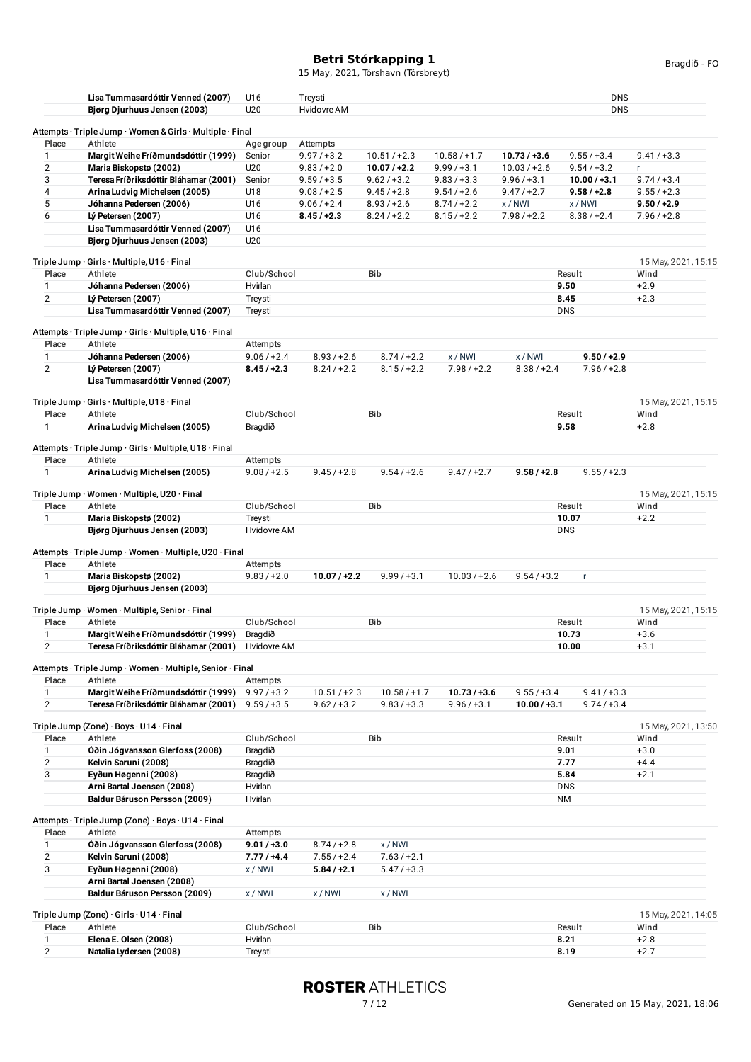15 May, 2021, Tórshavn (Tórsbreyt)

|                | Lisa Tummasardóttir Venned (2007)                                 | U16             | Treysti        |                |                |                | <b>DNS</b>     |                     |
|----------------|-------------------------------------------------------------------|-----------------|----------------|----------------|----------------|----------------|----------------|---------------------|
|                | Bjørg Djurhuus Jensen (2003)                                      | U20             | Hvidovre AM    |                |                |                | <b>DNS</b>     |                     |
|                |                                                                   |                 |                |                |                |                |                |                     |
|                | Attempts · Triple Jump · Women & Girls · Multiple · Final         |                 |                |                |                |                |                |                     |
| Place          | Athlete                                                           | Age group       | Attempts       |                |                |                |                |                     |
| 1              | Margit Weihe Fríðmundsdóttir (1999)                               | Senior          | $9.97 / +3.2$  | $10.51 / +2.3$ | $10.58 / +1.7$ | $10.73 / +3.6$ | $9.55 / +3.4$  | $9.41 / +3.3$       |
| $\overline{2}$ | Maria Biskopstø (2002)                                            | U20             | $9.83 / +2.0$  | $10.07 / +2.2$ | $9.99 / +3.1$  | $10.03 / +2.6$ | $9.54 / +3.2$  | r.                  |
| 3              | Teresa Fríðriksdóttir Bláhamar (2001)                             | Senior          | $9.59 / +3.5$  | $9.62 / +3.2$  | $9.83 / +3.3$  | $9.96 / +3.1$  | $10.00 / +3.1$ | $9.74 / +3.4$       |
| 4              | Arina Ludvig Michelsen (2005)                                     | U18             | $9.08 / +2.5$  | $9.45 / +2.8$  | $9.54 / +2.6$  | $9.47 / +2.7$  | $9.58 / +2.8$  | $9.55 / +2.3$       |
| 5              | Jóhanna Pedersen (2006)                                           | U16             | $9.06 / +2.4$  | $8.93 / +2.6$  | $8.74 / +2.2$  | x/NW           | x / NWI        | $9.50 / +2.9$       |
| 6              | Lý Petersen (2007)                                                | U16             | $8.45 / +2.3$  | $8.24 / +2.2$  | $8.15/ + 2.2$  | $7.98 / +2.2$  | $8.38 / +2.4$  | $7.96 / +2.8$       |
|                | Lisa Tummasardóttir Venned (2007)<br>Bjørg Djurhuus Jensen (2003) | U16<br>U20      |                |                |                |                |                |                     |
|                |                                                                   |                 |                |                |                |                |                |                     |
|                | Triple Jump · Girls · Multiple, U16 · Final                       |                 |                |                |                |                |                | 15 May, 2021, 15:15 |
| Place          | Athlete                                                           | Club/School     |                | Bib            |                |                | Result         | Wind                |
| 1              | Jóhanna Pedersen (2006)                                           | Hvirlan         |                |                |                |                | 9.50           | $+2.9$              |
| $\overline{2}$ | Lý Petersen (2007)                                                | Treysti         |                |                |                |                | 8.45           | $+2.3$              |
|                | Lisa Tummasardóttir Venned (2007)                                 | Treysti         |                |                |                |                | <b>DNS</b>     |                     |
|                |                                                                   |                 |                |                |                |                |                |                     |
|                | Attempts · Triple Jump · Girls · Multiple, U16 · Final            |                 |                |                |                |                |                |                     |
| Place          | Athlete                                                           | Attempts        |                |                |                |                |                |                     |
| 1              | Jóhanna Pedersen (2006)                                           | $9.06 / +2.4$   | $8.93 / +2.6$  | $8.74/+2.2$    | x / NWI        | x/NWI          | $9.50 / +2.9$  |                     |
| $\overline{2}$ | Lý Petersen (2007)                                                | $8.45/$ +2.3    | $8.24 / +2.2$  | $8.15/ + 2.2$  | $7.98 / +2.2$  | $8.38 / +2.4$  | $7.96 / +2.8$  |                     |
|                | Lisa Tummasardóttir Venned (2007)                                 |                 |                |                |                |                |                |                     |
|                | Triple Jump · Girls · Multiple, U18 · Final                       |                 |                |                |                |                |                | 15 May, 2021, 15:15 |
| Place          | Athlete                                                           | Club/School     |                | <b>Bib</b>     |                |                | Result         | Wind                |
| 1              | Arina Ludvig Michelsen (2005)                                     | Bragdið         |                |                |                |                | 9.58           | $+2.8$              |
|                |                                                                   |                 |                |                |                |                |                |                     |
|                | Attempts · Triple Jump · Girls · Multiple, U18 · Final            |                 |                |                |                |                |                |                     |
| Place          | Athlete                                                           | Attempts        |                |                |                |                |                |                     |
| 1              | Arina Ludvig Michelsen (2005)                                     | $9.08 / +2.5$   | $9.45 / +2.8$  | $9.54 / +2.6$  | $9.47 / +2.7$  | $9.58 / +2.8$  | $9.55 / +2.3$  |                     |
|                | Triple Jump · Women · Multiple, U20 · Final                       |                 |                |                |                |                |                | 15 May, 2021, 15:15 |
| Place          | Athlete                                                           | Club/School     |                | <b>Bib</b>     |                |                | Result         | Wind                |
| 1              | Maria Biskopstø (2002)                                            | Treysti         |                |                |                |                | 10.07          | $+2.2$              |
|                | Bjørg Djurhuus Jensen (2003)                                      | Hvidovre AM     |                |                |                |                | <b>DNS</b>     |                     |
|                |                                                                   |                 |                |                |                |                |                |                     |
|                | Attempts · Triple Jump · Women · Multiple, U20 · Final            |                 |                |                |                |                |                |                     |
| Place          | Athlete                                                           | Attempts        |                |                |                |                |                |                     |
| 1              | Maria Biskopstø (2002)                                            | $9.83 / +2.0$   | $10.07 / +2.2$ | $9.99 / +3.1$  | $10.03 / +2.6$ | $9.54 / +3.2$  | r.             |                     |
|                | Bjørg Djurhuus Jensen (2003)                                      |                 |                |                |                |                |                |                     |
|                | Triple Jump · Women · Multiple, Senior · Final                    |                 |                |                |                |                |                | 15 May, 2021, 15:15 |
| Place          | Athlete                                                           | Club/School     |                | <b>Bib</b>     |                |                | Result         | Wind                |
| 1              | Margit Weihe Fríðmundsdóttir (1999)                               | Bragdið         |                |                |                |                | 10.73          | $+3.6$              |
| $\overline{2}$ | Teresa Fríðriksdóttir Bláhamar (2001)                             | Hvidovre AM     |                |                |                |                | 10.00          | $+3.1$              |
|                |                                                                   |                 |                |                |                |                |                |                     |
|                | Attempts · Triple Jump · Women · Multiple, Senior · Final         |                 |                |                |                |                |                |                     |
| Place          | Athlete                                                           | <b>Attempts</b> |                |                |                |                |                |                     |
| $\mathbf{1}$   | Margit Weihe Fríðmundsdóttir (1999)                               | $9.97 / +3.2$   | $10.51 / +2.3$ | $10.58 / +1.7$ | $10.73 / +3.6$ | $9.55 / +3.4$  | $9.41 / +3.3$  |                     |
| $\overline{2}$ | Teresa Fríðriksdóttir Bláhamar (2001)                             | $9.59 / +3.5$   | $9.62 / +3.2$  | $9.83 / +3.3$  | $9.96 / +3.1$  | $10.00 / +3.1$ | $9.74/+3.4$    |                     |
|                | Triple Jump (Zone) · Boys · U14 · Final                           |                 |                |                |                |                |                | 15 May, 2021, 13:50 |
| Place          | Athlete                                                           | Club/School     |                | Bib            |                |                | Result         | Wind                |
| 1              | Óðin Jógvansson Glerfoss (2008)                                   | Bragdið         |                |                |                |                | 9.01           | $+3.0$              |
| $\overline{2}$ | Kelvin Saruni (2008)                                              | Bragdið         |                |                |                |                | 7.77           | $+4.4$              |
| 3              | Eyðun Høgenni (2008)                                              | Bragdið         |                |                |                |                | 5.84           | $+2.1$              |
|                | Arni Bartal Joensen (2008)                                        | Hvirlan         |                |                |                |                | <b>DNS</b>     |                     |
|                | Baldur Báruson Persson (2009)                                     | Hvirlan         |                |                |                |                | NM             |                     |
|                |                                                                   |                 |                |                |                |                |                |                     |
|                | Attempts · Triple Jump (Zone) · Boys · U14 · Final                |                 |                |                |                |                |                |                     |
| Place          | Athlete                                                           | Attempts        |                |                |                |                |                |                     |
| 1              | Óðin Jógvansson Glerfoss (2008)                                   | $9.01 / +3.0$   | $8.74 / +2.8$  | x/NWI          |                |                |                |                     |
| $\overline{2}$ | Kelvin Saruni (2008)                                              | $7.77 / +4.4$   | $7.55 / +2.4$  | $7.63 / +2.1$  |                |                |                |                     |
| 3              | Eyðun Høgenni (2008)                                              | x/NWI           | $5.84 / +2.1$  | $5.47 / +3.3$  |                |                |                |                     |
|                | Arni Bartal Joensen (2008)                                        |                 |                |                |                |                |                |                     |
|                | Baldur Báruson Persson (2009)                                     | x/NWI           | x/NWI          | x/NWI          |                |                |                |                     |
|                | Triple Jump (Zone) · Girls · U14 · Final                          |                 |                |                |                |                |                | 15 May, 2021, 14:05 |
| Place          | Athlete                                                           | Club/School     |                | Bib            |                |                | Result         | Wind                |
| 1              | Elena E. Olsen (2008)                                             | Hvirlan         |                |                |                |                | 8.21           | $+2.8$              |
| $\overline{2}$ | Natalia Lydersen (2008)                                           | Treysti         |                |                |                |                | 8.19           | $+2.7$              |
|                |                                                                   |                 |                |                |                |                |                |                     |

**ROSTER ATHLETICS**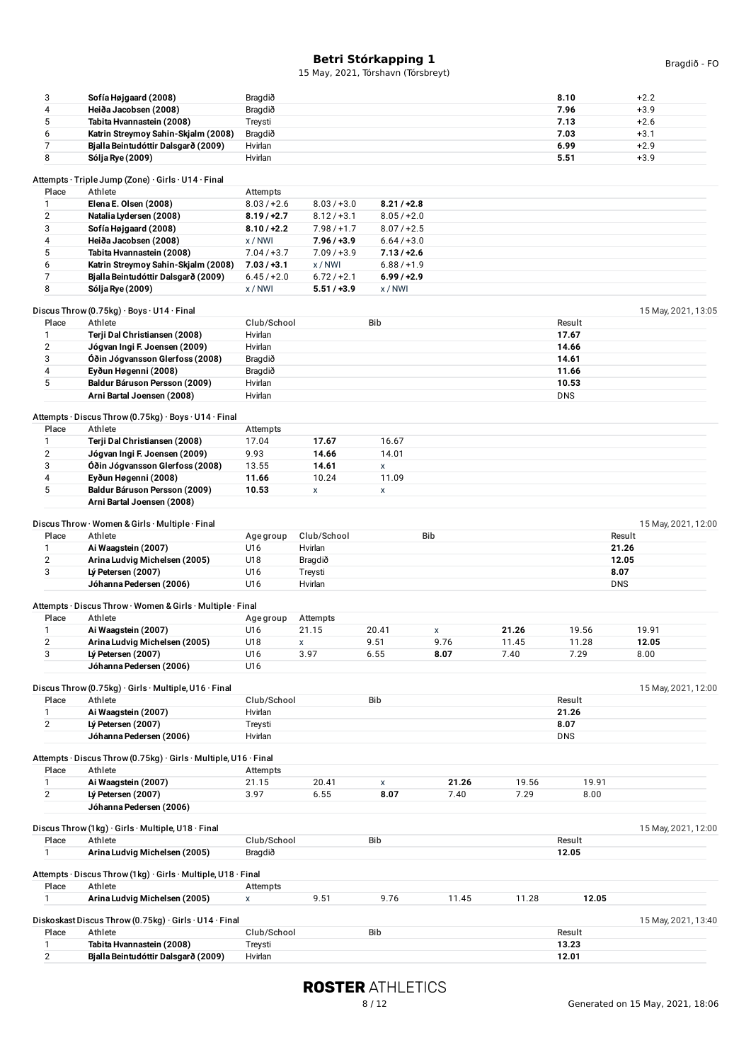| 3                   | Sofía Højgaard (2008)                                                   | Bragdið            |               |               |            |       | 8.10           | $+2.2$              |
|---------------------|-------------------------------------------------------------------------|--------------------|---------------|---------------|------------|-------|----------------|---------------------|
| 4                   |                                                                         | Bragdið            |               |               |            |       | 7.96           | $+3.9$              |
| 5                   | Heiða Jacobsen (2008)                                                   |                    |               |               |            |       | 7.13           | $+2.6$              |
|                     | Tabita Hvannastein (2008)                                               | Treysti            |               |               |            |       |                |                     |
| 6                   | Katrin Streymoy Sahin-Skjalm (2008)                                     | Bragdið            |               |               |            |       | 7.03           | $+3.1$              |
| $\overline{7}$      | Bjalla Beintudóttir Dalsgarð (2009)                                     | Hvirlan            |               |               |            |       | 6.99           | $+2.9$              |
| 8                   | Sólja Rye (2009)                                                        | Hvirlan            |               |               |            |       | 5.51           | $+3.9$              |
|                     | Attempts · Triple Jump (Zone) · Girls · U14 · Final                     |                    |               |               |            |       |                |                     |
| Place               | Athlete                                                                 | Attempts           |               |               |            |       |                |                     |
| 1                   | Elena E. Olsen (2008)                                                   | $8.03 / +2.6$      | $8.03 / +3.0$ | $8.21 / +2.8$ |            |       |                |                     |
| $\boldsymbol{2}$    |                                                                         | $8.19 / +2.7$      | $8.12 / +3.1$ | $8.05 / +2.0$ |            |       |                |                     |
| 3                   | Natalia Lydersen (2008)<br>Sofía Højgaard (2008)                        |                    | $7.98 / +1.7$ | $8.07 / +2.5$ |            |       |                |                     |
| 4                   | Heiða Jacobsen (2008)                                                   | $8.10 / +2.2$      |               |               |            |       |                |                     |
|                     |                                                                         | x/NWI              | $7.96 / +3.9$ | $6.64 / +3.0$ |            |       |                |                     |
| 5                   | Tabita Hvannastein (2008)                                               | $7.04 / +3.7$      | $7.09 / +3.9$ | $7.13 / +2.6$ |            |       |                |                     |
| 6                   | Katrin Streymoy Sahin-Skjalm (2008)                                     | $7.03 / +3.1$      | x/NWI         | $6.88 / +1.9$ |            |       |                |                     |
| 7                   | Bjalla Beintudóttir Dalsgarð (2009)                                     | $6.45/+2.0$        | $6.72 / +2.1$ | $6.99 / +2.9$ |            |       |                |                     |
| 8                   | Sólja Rye (2009)                                                        | x/NWI              | $5.51 / +3.9$ | x/NW          |            |       |                |                     |
|                     |                                                                         |                    |               |               |            |       |                |                     |
| Place               | Discus Throw (0.75kg) $\cdot$ Boys $\cdot$ U14 $\cdot$ Final<br>Athlete | Club/School        |               | Bib           |            |       | Result         | 15 May, 2021, 13:05 |
|                     |                                                                         |                    |               |               |            |       |                |                     |
| 1                   | Terji Dal Christiansen (2008)                                           | Hvirlan            |               |               |            |       | 17.67          |                     |
| $\overline{2}$      | Jógvan Ingi F. Joensen (2009)                                           | Hvirlan            |               |               |            |       | 14.66          |                     |
| 3                   | Óðin Jógvansson Glerfoss (2008)                                         | Bragdið            |               |               |            |       | 14.61          |                     |
| 4                   | Eyðun Høgenni (2008)                                                    | Bragdið            |               |               |            |       | 11.66          |                     |
| 5                   | Baldur Báruson Persson (2009)                                           | Hvirlan            |               |               |            |       | 10.53          |                     |
|                     | Arni Bartal Joensen (2008)                                              | Hvirlan            |               |               |            |       | <b>DNS</b>     |                     |
|                     | Attempts · Discus Throw (0.75kg) · Boys · U14 · Final                   |                    |               |               |            |       |                |                     |
| Place               | Athlete                                                                 |                    |               |               |            |       |                |                     |
| 1                   | Terji Dal Christiansen (2008)                                           | Attempts<br>17.04  | 17.67         | 16.67         |            |       |                |                     |
|                     |                                                                         |                    |               |               |            |       |                |                     |
| $\overline{2}$<br>3 | Jógvan Ingi F. Joensen (2009)                                           | 9.93               | 14.66         | 14.01         |            |       |                |                     |
|                     | Óðin Jógvansson Glerfoss (2008)                                         | 13.55              | 14.61         | X             |            |       |                |                     |
| 4                   | Eyðun Høgenni (2008)                                                    | 11.66              | 10.24         | 11.09         |            |       |                |                     |
| 5                   | Baldur Báruson Persson (2009)                                           | 10.53              | X             | X             |            |       |                |                     |
|                     | Arni Bartal Joensen (2008)                                              |                    |               |               |            |       |                |                     |
|                     | Discus Throw · Women & Girls · Multiple · Final                         |                    |               |               |            |       |                | 15 May, 2021, 12:00 |
| Place               | Athlete                                                                 |                    | Club/School   |               | <b>Bib</b> |       |                | Result              |
|                     |                                                                         | Age group          | Hvirlan       |               |            |       |                | 21.26               |
| 1                   | Ai Waagstein (2007)                                                     | U16                |               |               |            |       |                |                     |
| $\overline{2}$      | Arina Ludvig Michelsen (2005)                                           | U18                | Bragdið       |               |            |       |                | 12.05               |
| 3                   | Lý Petersen (2007)                                                      | U16                | Treysti       |               |            |       | 8.07           |                     |
|                     | Jóhanna Pedersen (2006)                                                 | U16                | Hvirlan       |               |            |       | <b>DNS</b>     |                     |
|                     | Attempts · Discus Throw · Women & Girls · Multiple · Final              |                    |               |               |            |       |                |                     |
| Place               | Athlete                                                                 | Age group          | Attempts      |               |            |       |                |                     |
| 1                   | Ai Waagstein (2007)                                                     | U16                | 21.15         | 20.41         | X          | 21.26 | 19.56          | 19.91               |
| $\overline{2}$      | Arina Ludvig Michelsen (2005)                                           | U18                |               | 9.51          | 9.76       |       |                |                     |
|                     |                                                                         |                    | X             | 6.55          | 8.07       | 11.45 | 11.28<br>7.29  | 12.05               |
| 3                   | Lý Petersen (2007)                                                      | U16                | 3.97          |               |            | 7.40  |                | 8.00                |
|                     |                                                                         |                    |               |               |            |       |                |                     |
|                     | Jóhanna Pedersen (2006)                                                 | U16                |               |               |            |       |                |                     |
|                     |                                                                         |                    |               |               |            |       |                |                     |
|                     | Discus Throw (0.75kg) · Girls · Multiple, U16 · Final                   |                    |               |               |            |       |                | 15 May, 2021, 12:00 |
| Place               | Athlete                                                                 | Club/School        |               | Bib           |            |       | Result         |                     |
| 1                   | Ai Waagstein (2007)                                                     | Hvirlan            |               |               |            |       | 21.26          |                     |
| $\overline{2}$      | Lý Petersen (2007)                                                      | Treysti            |               |               |            |       | 8.07           |                     |
|                     | Jóhanna Pedersen (2006)                                                 | Hvirlan            |               |               |            |       | <b>DNS</b>     |                     |
|                     | Attempts · Discus Throw (0.75kg) · Girls · Multiple, U16 · Final        |                    |               |               |            |       |                |                     |
|                     |                                                                         |                    |               |               |            |       |                |                     |
| Place               | Athlete                                                                 | Attempts           |               |               |            |       |                |                     |
| 1                   | Ai Waagstein (2007)                                                     | 21.15              | 20.41         | X             | 21.26      | 19.56 | 19.91          |                     |
| $\overline{2}$      | Lý Petersen (2007)                                                      | 3.97               | 6.55          | 8.07          | 7.40       | 7.29  | 8.00           |                     |
|                     | Jóhanna Pedersen (2006)                                                 |                    |               |               |            |       |                |                     |
|                     | Discus Throw (1kg) · Girls · Multiple, U18 · Final                      |                    |               |               |            |       |                | 15 May, 2021, 12:00 |
| Place               | Athlete                                                                 | Club/School        |               | Bib           |            |       | Result         |                     |
| 1                   | Arina Ludvig Michelsen (2005)                                           | Bragdið            |               |               |            |       | 12.05          |                     |
|                     |                                                                         |                    |               |               |            |       |                |                     |
|                     | Attempts · Discus Throw (1kg) · Girls · Multiple, U18 · Final           |                    |               |               |            |       |                |                     |
| Place               | Athlete                                                                 | Attempts           |               |               |            |       |                |                     |
| 1                   | Arina Ludvig Michelsen (2005)                                           | X                  | 9.51          | 9.76          | 11.45      | 11.28 | 12.05          |                     |
|                     |                                                                         |                    |               |               |            |       |                |                     |
|                     | Diskoskast Discus Throw (0.75kg) · Girls · U14 · Final                  |                    |               |               |            |       |                | 15 May, 2021, 13:40 |
| Place               | Athlete                                                                 | Club/School        |               | Bib           |            |       | Result         |                     |
| 1<br>$\overline{2}$ | Tabita Hvannastein (2008)<br>Bjalla Beintudóttir Dalsgarð (2009)        | Treysti<br>Hvirlan |               |               |            |       | 13.23<br>12.01 |                     |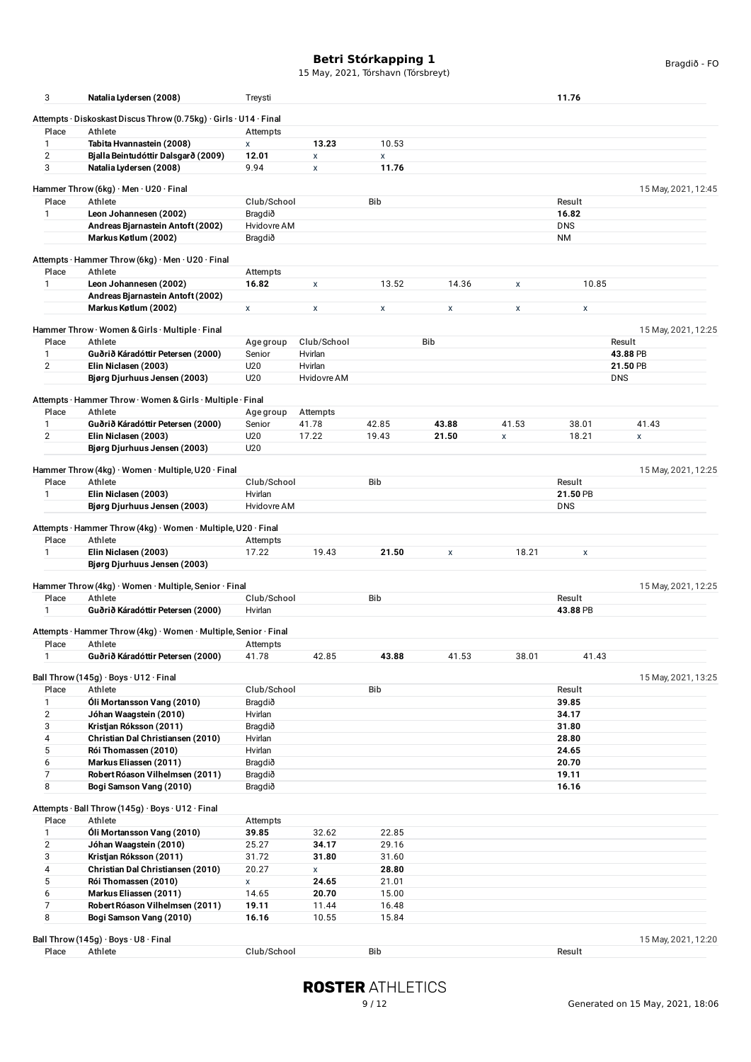15 May, 2021, Tórshavn (Tórsbreyt)

| 3                     | Natalia Lydersen (2008)                                              | Treysti       |                        |            |            |                    | 11.76      |                     |
|-----------------------|----------------------------------------------------------------------|---------------|------------------------|------------|------------|--------------------|------------|---------------------|
|                       |                                                                      |               |                        |            |            |                    |            |                     |
|                       | Attempts · Diskoskast Discus Throw (0.75kg) · Girls · U14 · Final    |               |                        |            |            |                    |            |                     |
| Place                 | Athlete                                                              | Attempts      |                        |            |            |                    |            |                     |
| $\mathbf{1}$          | Tabita Hvannastein (2008)                                            | $\mathsf{x}$  | 13.23                  | 10.53      |            |                    |            |                     |
| $\overline{2}$<br>3   | Bjalla Beintudóttir Dalsgarð (2009)<br>Natalia Lydersen (2008)       | 12.01<br>9.94 | $\pmb{\mathsf{X}}$     | X<br>11.76 |            |                    |            |                     |
|                       |                                                                      |               | $\pmb{\mathsf{X}}$     |            |            |                    |            |                     |
|                       | Hammer Throw (6kg) $\cdot$ Men $\cdot$ U20 $\cdot$ Final             |               |                        |            |            |                    |            | 15 May, 2021, 12:45 |
| Place                 | Athlete                                                              | Club/School   |                        | <b>Bib</b> |            |                    | Result     |                     |
| 1                     | Leon Johannesen (2002)                                               | Bragdið       |                        |            |            |                    | 16.82      |                     |
|                       | Andreas Bjarnastein Antoft (2002)                                    | Hvidovre AM   |                        |            |            |                    | <b>DNS</b> |                     |
|                       | Markus Køtlum (2002)                                                 | Bragdið       |                        |            |            |                    | <b>NM</b>  |                     |
|                       |                                                                      |               |                        |            |            |                    |            |                     |
|                       | Attempts · Hammer Throw (6kg) · Men · U20 · Final                    |               |                        |            |            |                    |            |                     |
| Place                 | Athlete                                                              | Attempts      |                        |            |            |                    |            |                     |
| 1                     | Leon Johannesen (2002)                                               | 16.82         | X                      | 13.52      | 14.36      | X                  | 10.85      |                     |
|                       | Andreas Bjarnastein Antoft (2002)                                    |               |                        |            |            |                    |            |                     |
|                       | Markus Køtlum (2002)                                                 | X             | X                      | X          | X          | X                  | X          |                     |
|                       |                                                                      |               |                        |            |            |                    |            |                     |
|                       | Hammer Throw · Women & Girls · Multiple · Final                      |               |                        |            |            |                    |            | 15 May, 2021, 12:25 |
| Place<br>$\mathbf{1}$ | Athlete                                                              | Age group     | Club/School            |            | <b>Bib</b> |                    |            | Result<br>43.88 PB  |
|                       | Guðrið Káradóttir Petersen (2000)                                    | Senior        | Hvirlan                |            |            |                    |            | 21.50 PB            |
| $\overline{2}$        | Elin Niclasen (2003)                                                 | U20<br>U20    | Hvirlan<br>Hvidovre AM |            |            |                    |            | <b>DNS</b>          |
|                       | Bjørg Djurhuus Jensen (2003)                                         |               |                        |            |            |                    |            |                     |
|                       | Attempts · Hammer Throw · Women & Girls · Multiple · Final           |               |                        |            |            |                    |            |                     |
| Place                 | Athlete                                                              | Age group     | Attempts               |            |            |                    |            |                     |
| 1                     | Guðrið Káradóttir Petersen (2000)                                    | Senior        | 41.78                  | 42.85      | 43.88      | 41.53              | 38.01      | 41.43               |
| 2                     | Elin Niclasen (2003)                                                 | U20           | 17.22                  | 19.43      | 21.50      | $\pmb{\mathsf{x}}$ | 18.21      | X                   |
|                       | Bjørg Djurhuus Jensen (2003)                                         | U20           |                        |            |            |                    |            |                     |
|                       |                                                                      |               |                        |            |            |                    |            |                     |
|                       | Hammer Throw (4kg) $\cdot$ Women $\cdot$ Multiple, U20 $\cdot$ Final |               |                        |            |            |                    |            | 15 May, 2021, 12:25 |
| Place                 | Athlete                                                              | Club/School   |                        | <b>Bib</b> |            |                    | Result     |                     |
| 1                     | Elin Niclasen (2003)                                                 | Hvirlan       |                        |            |            |                    | 21.50 PB   |                     |
|                       | Bjørg Djurhuus Jensen (2003)                                         | Hvidovre AM   |                        |            |            |                    | <b>DNS</b> |                     |
|                       |                                                                      |               |                        |            |            |                    |            |                     |
|                       | Attempts · Hammer Throw (4kg) · Women · Multiple, U20 · Final        |               |                        |            |            |                    |            |                     |
| Place                 | Athlete                                                              | Attempts      |                        |            |            |                    |            |                     |
| $\mathbf{1}$          | Elin Niclasen (2003)                                                 | 17.22         | 19.43                  | 21.50      | X          | 18.21              | X          |                     |
|                       | Bjørg Djurhuus Jensen (2003)                                         |               |                        |            |            |                    |            |                     |
|                       | Hammer Throw (4kg) · Women · Multiple, Senior · Final                |               |                        |            |            |                    |            | 15 May, 2021, 12:25 |
| Place                 | Athlete                                                              | Club/School   |                        | Bib        |            |                    | Result     |                     |
| $\mathbf{1}$          | Guðrið Káradóttir Petersen (2000)                                    | Hvirlan       |                        |            |            |                    | 43.88 PB   |                     |
|                       |                                                                      |               |                        |            |            |                    |            |                     |
|                       | Attempts · Hammer Throw (4kg) · Women · Multiple, Senior · Final     |               |                        |            |            |                    |            |                     |
| Place                 |                                                                      |               |                        |            |            |                    |            |                     |
| 1                     | Athlete                                                              | Attempts      |                        |            |            |                    |            |                     |
|                       | Guðrið Káradóttir Petersen (2000)                                    | 41.78         | 42.85                  | 43.88      | 41.53      | 38.01              | 41.43      |                     |
|                       |                                                                      |               |                        |            |            |                    |            |                     |
| Place                 | Ball Throw (145g) $\cdot$ Boys $\cdot$ U12 $\cdot$ Final             |               |                        |            |            |                    |            |                     |
|                       | Athlete                                                              | Club/School   |                        | <b>Bib</b> |            |                    | Result     |                     |
| $\mathbf{1}$          | Óli Mortansson Vang (2010)                                           | Bragdið       |                        |            |            |                    | 39.85      |                     |
| 2                     | Jóhan Waagstein (2010)                                               | Hvirlan       |                        |            |            |                    | 34.17      |                     |
| 3                     | Kristjan Róksson (2011)                                              | Bragdið       |                        |            |            |                    | 31.80      |                     |
| 4                     | Christian Dal Christiansen (2010)                                    | Hvirlan       |                        |            |            |                    | 28.80      |                     |
| 5                     | Rói Thomassen (2010)                                                 | Hvirlan       |                        |            |            |                    | 24.65      |                     |
| 6                     | Markus Eliassen (2011)                                               | Bragdið       |                        |            |            |                    | 20.70      |                     |
| 7                     | Robert Róason Vilhelmsen (2011)                                      | Bragdið       |                        |            |            |                    | 19.11      | 15 May, 2021, 13:25 |
| 8                     | Bogi Samson Vang (2010)                                              | Bragdið       |                        |            |            |                    | 16.16      |                     |
|                       |                                                                      |               |                        |            |            |                    |            |                     |
|                       | Attempts · Ball Throw (145g) · Boys · U12 · Final                    |               |                        |            |            |                    |            |                     |
| Place                 | Athlete                                                              | Attempts      |                        |            |            |                    |            |                     |
| 1                     | Óli Mortansson Vang (2010)                                           | 39.85         | 32.62                  | 22.85      |            |                    |            |                     |
| $\overline{2}$        | Jóhan Waagstein (2010)                                               | 25.27         | 34.17                  | 29.16      |            |                    |            |                     |
| 3                     | Kristjan Róksson (2011)                                              | 31.72         | 31.80                  | 31.60      |            |                    |            |                     |
| $\overline{4}$        | Christian Dal Christiansen (2010)                                    | 20.27         | X                      | 28.80      |            |                    |            |                     |
| 5                     | Rói Thomassen (2010)                                                 | X             | 24.65                  | 21.01      |            |                    |            |                     |
| 6                     | Markus Eliassen (2011)                                               | 14.65         | 20.70                  | 15.00      |            |                    |            |                     |
| $\overline{7}$        | Robert Róason Vilhelmsen (2011)                                      | 19.11         | 11.44                  | 16.48      |            |                    |            |                     |
| 8                     | Bogi Samson Vang (2010)                                              | 16.16         | 10.55                  | 15.84      |            |                    |            |                     |
|                       |                                                                      |               |                        |            |            |                    |            |                     |
| Place                 | Ball Throw (145g) · Boys · U8 · Final<br>Athlete                     | Club/School   |                        | Bib        |            |                    | Result     | 15 May, 2021, 12:20 |

Bragdið - FO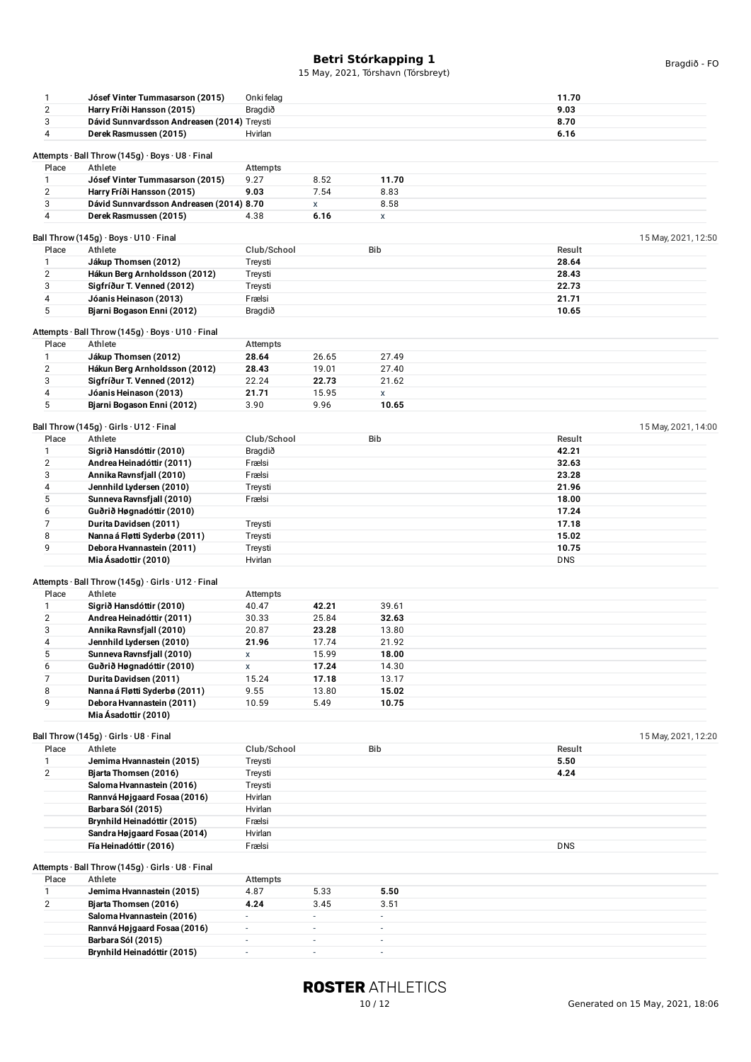| $\mathbf{1}$            | Jósef Vinter Tummasarson (2015)                           | Onki felag               |                          |                          | 11.70               |  |
|-------------------------|-----------------------------------------------------------|--------------------------|--------------------------|--------------------------|---------------------|--|
| $\sqrt{2}$              | Harry Fríði Hansson (2015)                                | Bragdið                  |                          |                          | 9.03                |  |
| 3                       | Dávid Sunnvardsson Andreasen (2014) Treysti               |                          |                          |                          | 8.70                |  |
| 4                       | Derek Rasmussen (2015)                                    | Hvirlan                  |                          |                          | 6.16                |  |
|                         |                                                           |                          |                          |                          |                     |  |
|                         |                                                           |                          |                          |                          |                     |  |
|                         | Attempts · Ball Throw (145g) · Boys · U8 · Final          |                          |                          |                          |                     |  |
| Place                   | Athlete                                                   | Attempts                 |                          |                          |                     |  |
| 1                       | Jósef Vinter Tummasarson (2015)                           | 9.27                     | 8.52                     | 11.70                    |                     |  |
| $\overline{2}$          | Harry Fríði Hansson (2015)                                | 9.03                     | 7.54                     | 8.83                     |                     |  |
| 3                       | Dávid Sunnvardsson Andreasen (2014) 8.70                  |                          | X                        | 8.58                     |                     |  |
| $\overline{4}$          |                                                           |                          |                          |                          |                     |  |
|                         | Derek Rasmussen (2015)                                    | 4.38                     | 6.16                     | X                        |                     |  |
|                         |                                                           |                          |                          |                          |                     |  |
|                         | Ball Throw (145g) · Boys · U10 · Final                    |                          |                          |                          | 15 May, 2021, 12:50 |  |
| Place                   | Athlete                                                   | Club/School              |                          | Bib                      | Result              |  |
| $\mathbf{1}$            | Jákup Thomsen (2012)                                      | Treysti                  |                          |                          | 28.64               |  |
| $\overline{2}$          | Hákun Berg Arnholdsson (2012)                             | Treysti                  |                          |                          | 28.43               |  |
| 3                       | Sigfríður T. Venned (2012)                                | Treysti                  |                          |                          | 22.73               |  |
|                         |                                                           |                          |                          |                          |                     |  |
| 4                       | Jóanis Heinason (2013)                                    | Frælsi                   |                          |                          | 21.71               |  |
| 5                       | Bjarni Bogason Enni (2012)                                | Bragdið                  |                          |                          | 10.65               |  |
|                         |                                                           |                          |                          |                          |                     |  |
|                         | Attempts · Ball Throw (145g) · Boys · U10 · Final         |                          |                          |                          |                     |  |
| Place                   | Athlete                                                   | Attempts                 |                          |                          |                     |  |
| 1                       | Jákup Thomsen (2012)                                      | 28.64                    | 26.65                    | 27.49                    |                     |  |
|                         |                                                           | 28.43                    |                          |                          |                     |  |
| $\overline{2}$          | Hákun Berg Arnholdsson (2012)                             |                          | 19.01                    | 27.40                    |                     |  |
| 3                       | Sigfríður T. Venned (2012)                                | 22.24                    | 22.73                    | 21.62                    |                     |  |
| 4                       | Jóanis Heinason (2013)                                    | 21.71                    | 15.95                    | X                        |                     |  |
| 5                       | Bjarni Bogason Enni (2012)                                | 3.90                     | 9.96                     | 10.65                    |                     |  |
|                         |                                                           |                          |                          |                          |                     |  |
|                         | Ball Throw (145g) $\cdot$ Girls $\cdot$ U12 $\cdot$ Final |                          |                          |                          | 15 May, 2021, 14:00 |  |
| Place                   | Athlete                                                   | Club/School              |                          | Bib                      | Result              |  |
|                         |                                                           |                          |                          |                          |                     |  |
| $\mathbf{1}$            | Sigrið Hansdóttir (2010)                                  | Bragdið                  |                          |                          | 42.21               |  |
| $\overline{\mathbf{c}}$ | Andrea Heinadóttir (2011)                                 | Frælsi                   |                          |                          | 32.63               |  |
| 3                       | Annika Ravnsfjall (2010)                                  | Frælsi                   |                          |                          | 23.28               |  |
| 4                       | Jennhild Lydersen (2010)                                  | Treysti                  |                          |                          | 21.96               |  |
| 5                       | Sunneva Ravnsfjall (2010)                                 | Frælsi                   |                          |                          | 18.00               |  |
|                         |                                                           |                          |                          |                          |                     |  |
| 6                       | Guðrið Høgnadóttir (2010)                                 |                          |                          |                          | 17.24               |  |
| 7                       | Durita Davidsen (2011)                                    | Treysti                  |                          |                          | 17.18               |  |
| 8                       | Nanna á Fløtti Syderbø (2011)                             | Treysti                  |                          |                          | 15.02               |  |
| 9                       | Debora Hvannastein (2011)                                 | Treysti                  |                          |                          | 10.75               |  |
|                         | Mia Ásadottir (2010)                                      | Hvirlan                  |                          |                          | <b>DNS</b>          |  |
|                         |                                                           |                          |                          |                          |                     |  |
|                         | Attempts · Ball Throw (145g) · Girls · U12 · Final        |                          |                          |                          |                     |  |
|                         |                                                           |                          |                          |                          |                     |  |
| Place                   | Athlete                                                   | Attempts                 |                          |                          |                     |  |
| $\mathbf{1}$            | Sigrið Hansdóttir (2010)                                  | 40.47                    | 42.21                    | 39.61                    |                     |  |
| $\overline{2}$          | Andrea Heinadóttir (2011)                                 | 30.33                    | 25.84                    | 32.63                    |                     |  |
| 3                       | Annika Ravnsfjall (2010)                                  | 20.87                    | 23.28                    | 13.80                    |                     |  |
| 4                       | Jennhild Lydersen (2010)                                  | 21.96                    | 17.74                    | 21.92                    |                     |  |
|                         |                                                           |                          |                          |                          |                     |  |
| 5                       | Sunneva Ravnsfjall (2010)                                 | X                        | 15.99                    | 18.00                    |                     |  |
| 6                       | Guðrið Høgnadóttir (2010)                                 | X                        | 17.24                    | 14.30                    |                     |  |
| 7                       | Durita Davidsen (2011)                                    | 15.24                    | 17.18                    | 13.17                    |                     |  |
| 8                       | Nanna á Fløtti Syderbø (2011)                             | 9.55                     | 13.80                    | 15.02                    |                     |  |
| 9                       | Debora Hvannastein (2011)                                 | 10.59                    | 5.49                     | 10.75                    |                     |  |
|                         |                                                           |                          |                          |                          |                     |  |
|                         | Mia Ásadottir (2010)                                      |                          |                          |                          |                     |  |
|                         |                                                           |                          |                          |                          |                     |  |
|                         | Ball Throw (145g) · Girls · U8 · Final                    |                          |                          |                          | 15 May, 2021, 12:20 |  |
| Place                   | Athlete                                                   | Club/School              |                          | Bib                      | Result              |  |
| $\mathbf{1}$            | Jemima Hvannastein (2015)                                 | Treysti                  |                          |                          | 5.50                |  |
| 2                       | Bjarta Thomsen (2016)                                     | Treysti                  |                          |                          | 4.24                |  |
|                         | Saloma Hvannastein (2016)                                 |                          |                          |                          |                     |  |
|                         |                                                           | Treysti                  |                          |                          |                     |  |
|                         | Rannvá Højgaard Fosaa (2016)                              | Hvirlan                  |                          |                          |                     |  |
|                         | Barbara Sól (2015)                                        | Hvirlan                  |                          |                          |                     |  |
|                         | Brynhild Heinadóttir (2015)                               | Frælsi                   |                          |                          |                     |  |
|                         | Sandra Højgaard Fosaa (2014)                              | Hvirlan                  |                          |                          |                     |  |
|                         | Fía Heinadóttir (2016)                                    |                          |                          |                          | <b>DNS</b>          |  |
|                         |                                                           | Frælsi                   |                          |                          |                     |  |
|                         |                                                           |                          |                          |                          |                     |  |
|                         | Attempts · Ball Throw (145g) · Girls · U8 · Final         |                          |                          |                          |                     |  |
| Place                   | Athlete                                                   | Attempts                 |                          |                          |                     |  |
| $\mathbf{1}$            | Jemima Hvannastein (2015)                                 | 4.87                     | 5.33                     | 5.50                     |                     |  |
| $\overline{2}$          | Bjarta Thomsen (2016)                                     | 4.24                     | 3.45                     | 3.51                     |                     |  |
|                         | Saloma Hvannastein (2016)                                 | $\overline{\phantom{a}}$ | $\overline{\phantom{a}}$ | $\overline{\phantom{a}}$ |                     |  |
|                         |                                                           |                          |                          |                          |                     |  |
|                         | Rannvá Højgaard Fosaa (2016)                              | $\overline{\phantom{a}}$ | $\blacksquare$           | $\overline{\phantom{a}}$ |                     |  |
|                         | Barbara Sól (2015)                                        | $\overline{\phantom{a}}$ | $\blacksquare$           | $\overline{\phantom{a}}$ |                     |  |
|                         | Brynhild Heinadóttir (2015)                               | $\overline{a}$           | ÷,                       | $\overline{\phantom{a}}$ |                     |  |
|                         |                                                           |                          |                          |                          |                     |  |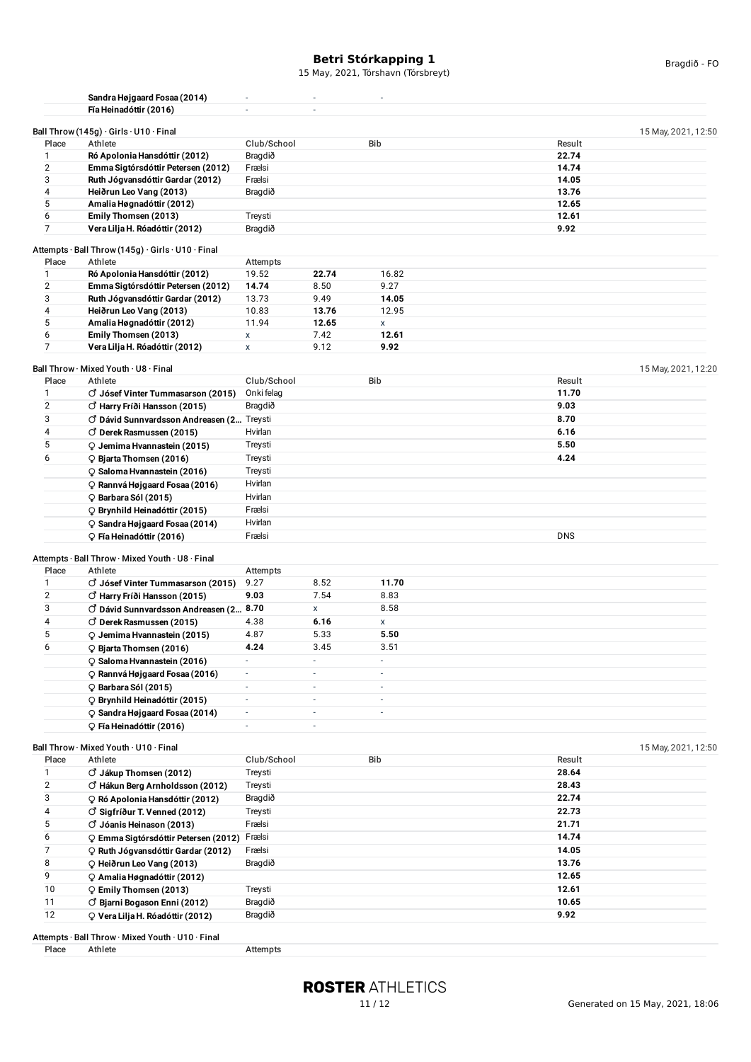| Place                   | Sandra Højgaard Fosaa (2014)<br>Fía Heinadóttir (2016)<br>Ball Throw (145g) $\cdot$ Girls $\cdot$ U10 $\cdot$ Final<br>Athlete | $\sim$<br>÷.             | $\overline{\phantom{a}}$ | 15 May, 2021, Tórshavn (Tórsbreyt)<br>÷, |            | Bragdið - FO        |
|-------------------------|--------------------------------------------------------------------------------------------------------------------------------|--------------------------|--------------------------|------------------------------------------|------------|---------------------|
|                         |                                                                                                                                |                          |                          |                                          |            |                     |
|                         |                                                                                                                                |                          |                          |                                          |            |                     |
|                         |                                                                                                                                |                          | $\sim$                   |                                          |            |                     |
|                         |                                                                                                                                |                          |                          |                                          |            | 15 May, 2021, 12:50 |
|                         |                                                                                                                                | Club/School              |                          | <b>Bib</b>                               | Result     |                     |
| 1                       | Ró Apolonia Hansdóttir (2012)                                                                                                  | Bragdið                  |                          |                                          | 22.74      |                     |
| $\overline{2}$          | Emma Sigtórsdóttir Petersen (2012)                                                                                             | Frælsi                   |                          |                                          | 14.74      |                     |
| 3                       | Ruth Jógvansdóttir Gardar (2012)                                                                                               | Frælsi                   |                          |                                          | 14.05      |                     |
| 4                       | Heiðrun Leo Vang (2013)                                                                                                        | Bragdið                  |                          |                                          | 13.76      |                     |
| 5                       | Amalia Høgnadóttir (2012)                                                                                                      |                          |                          |                                          | 12.65      |                     |
| 6<br>$\overline{7}$     | Emily Thomsen (2013)                                                                                                           | Treysti                  |                          |                                          | 12.61      |                     |
|                         | Vera Lilja H. Róadóttir (2012)                                                                                                 | Bragdið                  |                          |                                          | 9.92       |                     |
|                         | Attempts $\cdot$ Ball Throw (145g) $\cdot$ Girls $\cdot$ U10 $\cdot$ Final                                                     |                          |                          |                                          |            |                     |
| Place                   | Athlete                                                                                                                        | Attempts                 |                          |                                          |            |                     |
| $\mathbf{1}$            | Ró Apolonia Hansdóttir (2012)                                                                                                  | 19.52                    | 22.74                    | 16.82                                    |            |                     |
| $\overline{2}$          | Emma Sigtórsdóttir Petersen (2012)                                                                                             | 14.74                    | 8.50                     | 9.27                                     |            |                     |
| 3                       | Ruth Jógvansdóttir Gardar (2012)                                                                                               | 13.73                    | 9.49                     | 14.05                                    |            |                     |
| 4                       | Heiðrun Leo Vang (2013)                                                                                                        | 10.83                    | 13.76                    | 12.95                                    |            |                     |
| 5                       | Amalia Høgnadóttir (2012)                                                                                                      | 11.94                    | 12.65                    | X                                        |            |                     |
| 6                       | Emily Thomsen (2013)                                                                                                           | $\pmb{\mathsf{x}}$       | 7.42                     | 12.61                                    |            |                     |
| $\overline{7}$          | Vera Lilja H. Róadóttir (2012)                                                                                                 | $\pmb{\mathsf{x}}$       | 9.12                     | 9.92                                     |            |                     |
|                         | Ball Throw · Mixed Youth · U8 · Final                                                                                          |                          |                          |                                          |            | 15 May, 2021, 12:20 |
| Place                   | Athlete                                                                                                                        | Club/School              |                          | <b>Bib</b>                               | Result     |                     |
| 1                       | $\vec{C}$ Jósef Vinter Tummasarson (2015)                                                                                      | Onki felag               |                          |                                          | 11.70      |                     |
| $\overline{2}$          | $\circlearrowleft$ Harry Fríði Hansson (2015)                                                                                  | Bragdið                  |                          |                                          | 9.03       |                     |
| 3                       | O Dávid Sunnvardsson Andreasen (2 Treysti                                                                                      |                          |                          |                                          | 8.70       |                     |
| 4                       | $\circ$ Derek Rasmussen (2015)                                                                                                 | Hvirlan                  |                          |                                          | 6.16       |                     |
| 5                       | Q Jemima Hvannastein (2015)                                                                                                    | Treysti                  |                          |                                          | 5.50       |                     |
| 6                       | C Bjarta Thomsen (2016)                                                                                                        | Treysti                  |                          |                                          | 4.24       |                     |
|                         | C Saloma Hvannastein (2016)                                                                                                    | Treysti                  |                          |                                          |            |                     |
|                         | Q Rannvá Højgaard Fosaa (2016)                                                                                                 | Hvirlan                  |                          |                                          |            |                     |
|                         | $\circ$ Barbara Sól (2015)                                                                                                     | Hvirlan                  |                          |                                          |            |                     |
|                         | O Brynhild Heinadóttir (2015)                                                                                                  | Frælsi                   |                          |                                          |            |                     |
|                         | C Sandra Højgaard Fosaa (2014)                                                                                                 | Hvirlan                  |                          |                                          |            |                     |
|                         | C Fía Heinadóttir (2016)                                                                                                       | Frælsi                   |                          |                                          | <b>DNS</b> |                     |
|                         |                                                                                                                                |                          |                          |                                          |            |                     |
|                         | Attempts · Ball Throw · Mixed Youth · U8 · Final                                                                               |                          |                          |                                          |            |                     |
| Place                   | Athlete                                                                                                                        | Attempts                 |                          |                                          |            |                     |
| 1                       | $\circ$ Jósef Vinter Tummasarson (2015)                                                                                        | 9.27                     | 8.52                     | 11.70                                    |            |                     |
| $\overline{2}$          | C Harry Fríði Hansson (2015)                                                                                                   | 9.03                     | 7.54                     | 8.83                                     |            |                     |
| 3                       | O Dávid Sunnvardsson Andreasen (2 8.70                                                                                         |                          | X                        | 8.58                                     |            |                     |
| 4                       | $\circ$ Derek Rasmussen (2015)                                                                                                 | 4.38                     | 6.16                     | X                                        |            |                     |
| 5                       | Q Jemima Hvannastein (2015)                                                                                                    | 4.87                     | 5.33                     | 5.50                                     |            |                     |
| 6                       | C Bjarta Thomsen (2016)                                                                                                        | 4.24                     | 3.45                     | 3.51<br>÷.                               |            |                     |
|                         | ♀ Saloma Hvannastein (2016)                                                                                                    | $\overline{\phantom{a}}$ | $\overline{\phantom{a}}$ |                                          |            |                     |
|                         | O Rannvá Højgaard Fosaa (2016)                                                                                                 | $\overline{\phantom{a}}$ | $\overline{\phantom{a}}$ | -                                        |            |                     |
|                         | $\circ$ Barbara Sól (2015)                                                                                                     | $\overline{\phantom{a}}$ | $\overline{\phantom{a}}$ | $\overline{\phantom{a}}$                 |            |                     |
|                         | P Brynhild Heinadóttir (2015)                                                                                                  | $\overline{\phantom{a}}$ | $\overline{\phantom{a}}$ | $\overline{\phantom{a}}$                 |            |                     |
|                         | C Sandra Højgaard Fosaa (2014)                                                                                                 | $\sim$                   | $\overline{\phantom{a}}$ | $\overline{\phantom{a}}$                 |            |                     |
|                         | ♀ Fía Heinadóttir (2016)                                                                                                       | $\overline{\phantom{a}}$ | ÷,                       |                                          |            |                     |
|                         | Ball Throw · Mixed Youth · U10 · Final                                                                                         |                          |                          |                                          |            | 15 May, 2021, 12:50 |
| Place                   | Athlete                                                                                                                        | Club/School              |                          | Bib                                      | Result     |                     |
| 1                       | $\circlearrowleft$ Jákup Thomsen (2012)                                                                                        | Treysti                  |                          |                                          | 28.64      |                     |
| $\overline{\mathbf{c}}$ | O Hákun Berg Arnholdsson (2012)                                                                                                | Treysti                  |                          |                                          | 28.43      |                     |
| 3                       | ORó Apolonia Hansdóttir (2012)                                                                                                 | Bragdið                  |                          |                                          | 22.74      |                     |
| 4                       | $\circlearrowleft$ Sigfríður T. Venned (2012)                                                                                  | Treysti                  |                          |                                          | 22.73      |                     |
| 5                       | $\vec{C}$ Jóanis Heinason (2013)                                                                                               | Frælsi                   |                          |                                          | 21.71      |                     |
| 6                       | O Emma Sigtórsdóttir Petersen (2012)                                                                                           | Frælsi                   |                          |                                          | 14.74      |                     |
| $\overline{7}$          | Q Ruth Jógvansdóttir Gardar (2012)                                                                                             | Frælsi                   |                          |                                          | 14.05      |                     |
| 8                       | C Heiðrun Leo Vang (2013)                                                                                                      | Bragdið                  |                          |                                          | 13.76      |                     |

Attempts · Ball Throw · Mixed Youth · U10 · Final<br>Place Athlete

12 **Vera Lilja H. Róadóttir (2012)** Bragdið **9.92**

9 **Amalia Høgnadóttir (2012) 12.65** 10 **Emily Thomsen (2013)** Treysti **12.61** 11 **Bjarni Bogason Enni (2012)** Bragdið **10.65**

Attempts